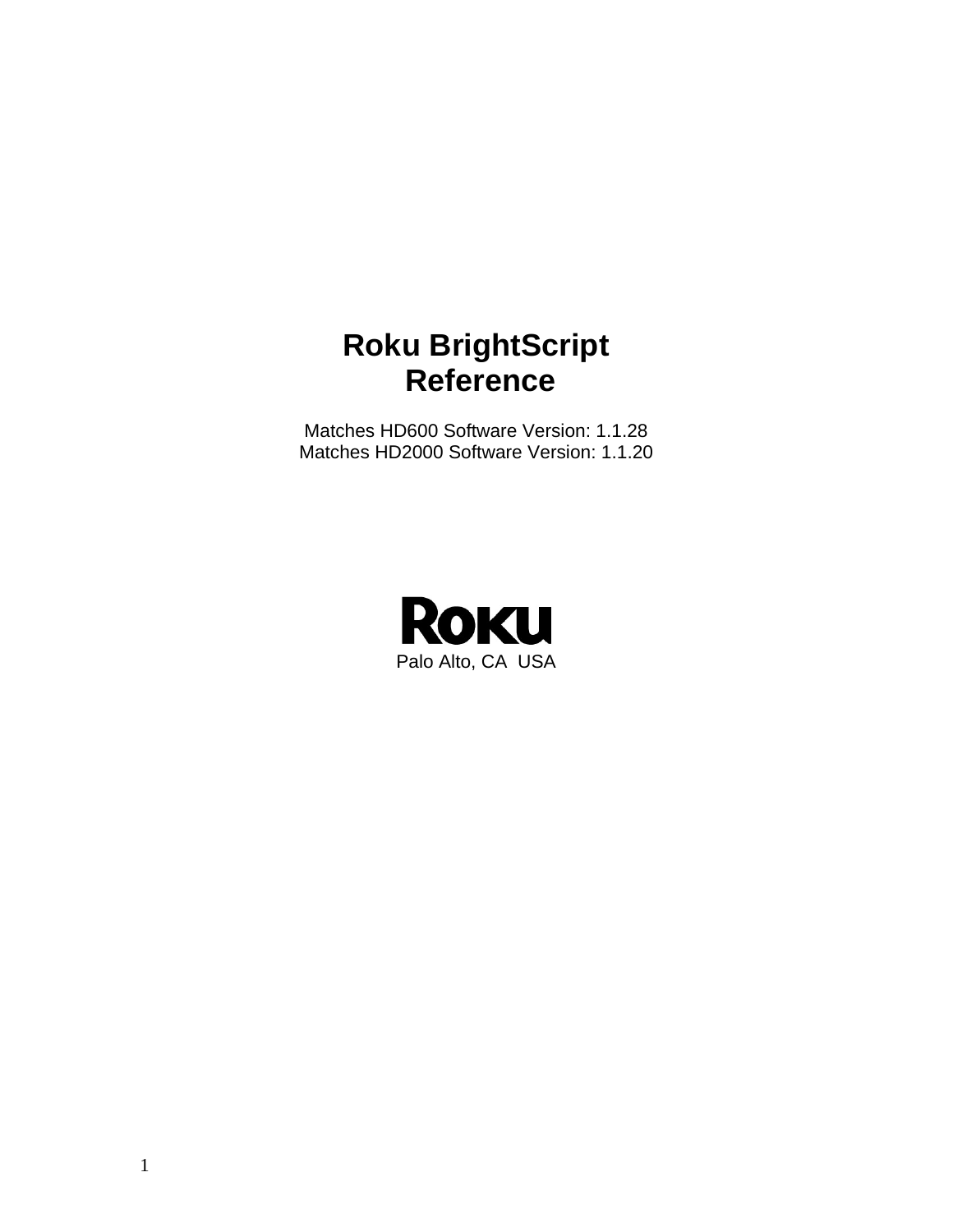# **Roku BrightScript Reference**

Matches HD600 Software Version: 1.1.28 Matches HD2000 Software Version: 1.1.20

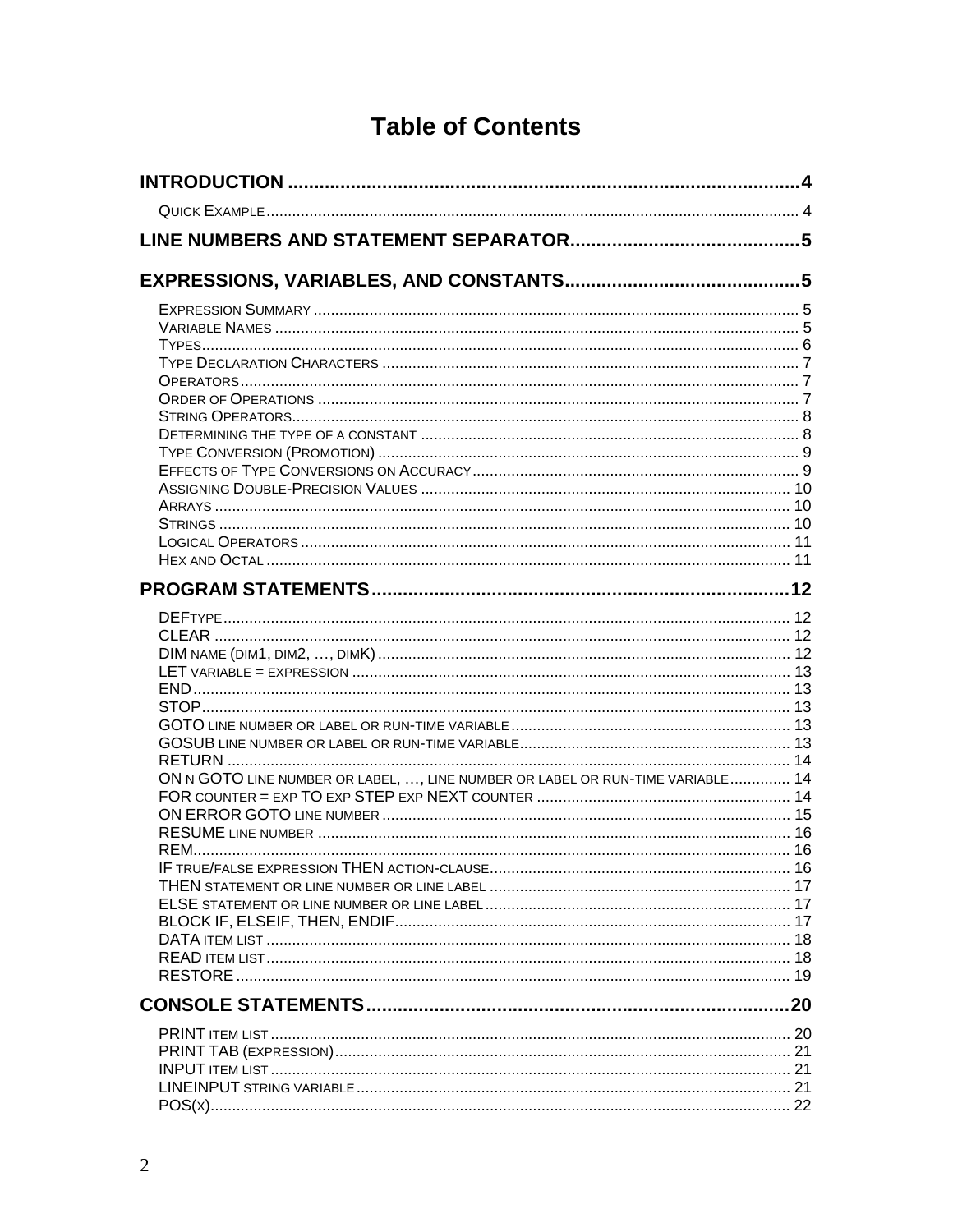| <b>Table of Contents</b> |  |  |  |
|--------------------------|--|--|--|
|--------------------------|--|--|--|

| ON N GOTO LINE NUMBER OR LABEL, , LINE NUMBER OR LABEL OR RUN-TIME VARIABLE 14 |  |
|--------------------------------------------------------------------------------|--|
|                                                                                |  |
|                                                                                |  |
|                                                                                |  |
|                                                                                |  |
|                                                                                |  |
|                                                                                |  |
|                                                                                |  |
|                                                                                |  |
|                                                                                |  |
|                                                                                |  |
|                                                                                |  |
|                                                                                |  |
|                                                                                |  |
|                                                                                |  |
|                                                                                |  |
|                                                                                |  |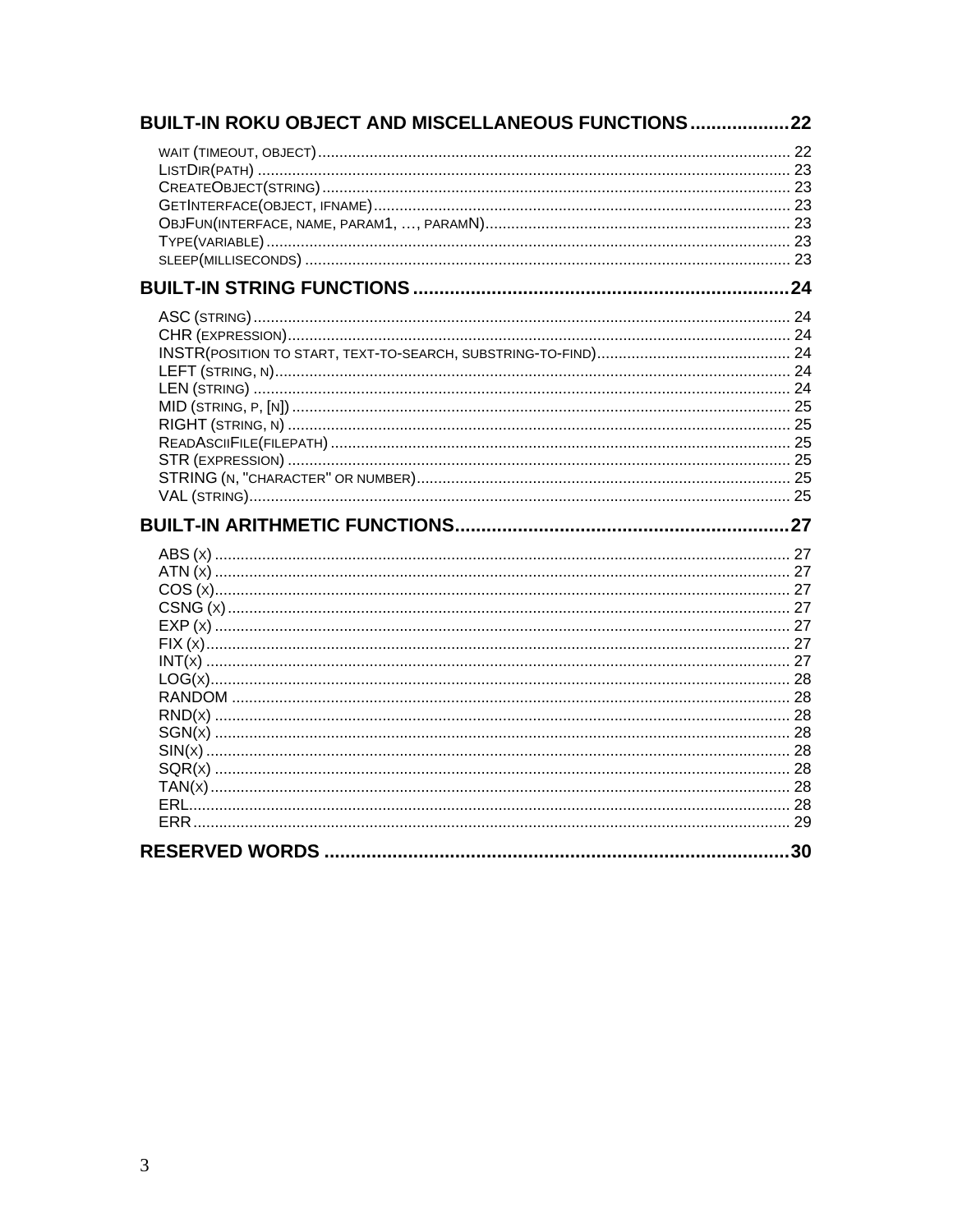| BUILT-IN ROKU OBJECT AND MISCELLANEOUS FUNCTIONS22 |     |
|----------------------------------------------------|-----|
|                                                    |     |
|                                                    |     |
|                                                    |     |
|                                                    |     |
|                                                    |     |
|                                                    |     |
|                                                    |     |
|                                                    |     |
|                                                    |     |
|                                                    |     |
|                                                    |     |
|                                                    |     |
|                                                    |     |
|                                                    |     |
|                                                    |     |
|                                                    |     |
|                                                    |     |
|                                                    |     |
|                                                    |     |
|                                                    |     |
|                                                    |     |
|                                                    |     |
|                                                    |     |
|                                                    |     |
|                                                    |     |
|                                                    |     |
|                                                    |     |
|                                                    |     |
|                                                    |     |
|                                                    |     |
|                                                    |     |
|                                                    |     |
|                                                    |     |
|                                                    |     |
|                                                    |     |
|                                                    |     |
|                                                    | .30 |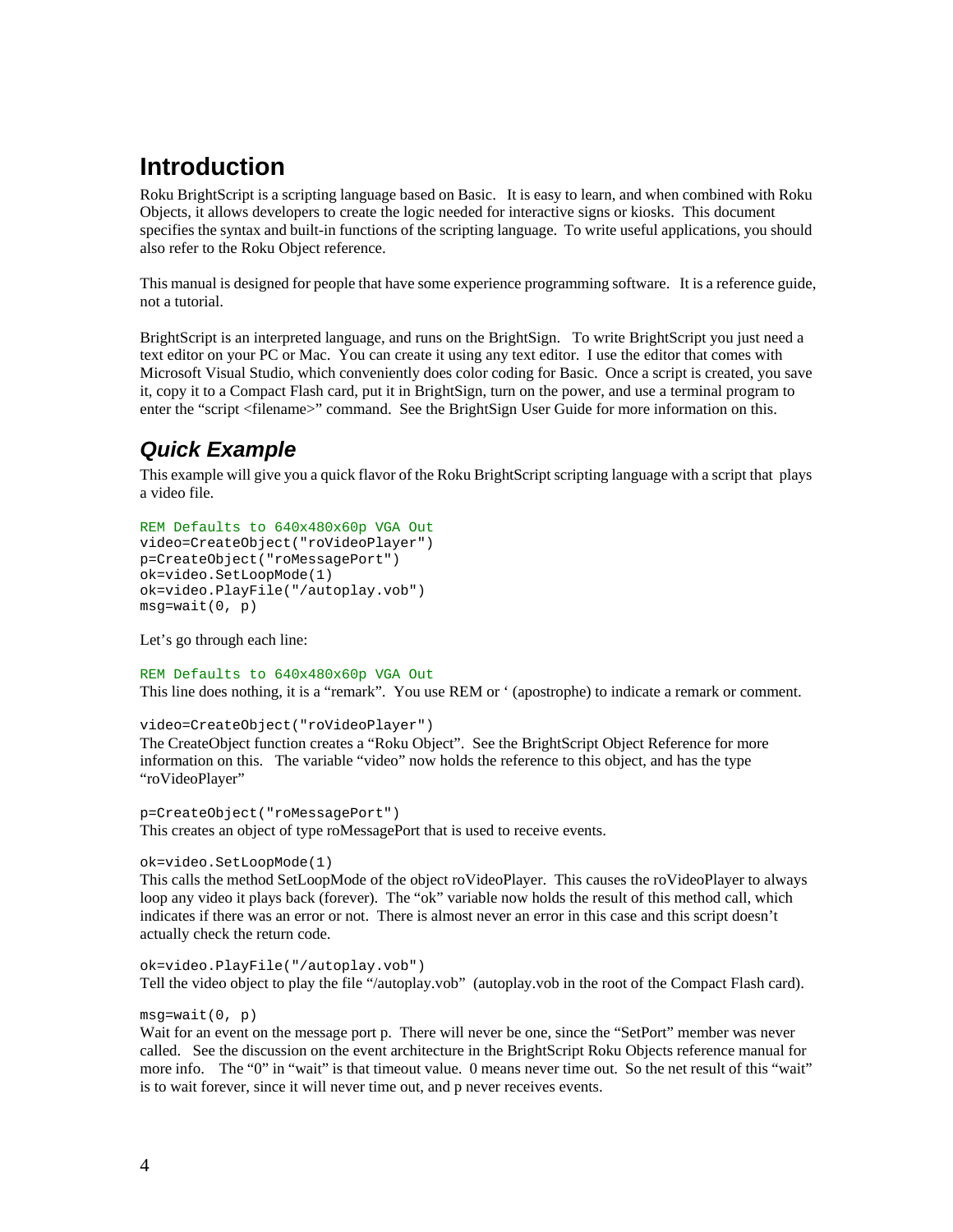# **Introduction**

Roku BrightScript is a scripting language based on Basic. It is easy to learn, and when combined with Roku Objects, it allows developers to create the logic needed for interactive signs or kiosks. This document specifies the syntax and built-in functions of the scripting language. To write useful applications, you should also refer to the Roku Object reference.

This manual is designed for people that have some experience programming software. It is a reference guide, not a tutorial.

BrightScript is an interpreted language, and runs on the BrightSign. To write BrightScript you just need a text editor on your PC or Mac. You can create it using any text editor. I use the editor that comes with Microsoft Visual Studio, which conveniently does color coding for Basic. Once a script is created, you save it, copy it to a Compact Flash card, put it in BrightSign, turn on the power, and use a terminal program to enter the "script <filename>" command. See the BrightSign User Guide for more information on this.

### *Quick Example*

This example will give you a quick flavor of the Roku BrightScript scripting language with a script that plays a video file.

```
REM Defaults to 640x480x60p VGA Out 
video=CreateObject("roVideoPlayer") 
p=CreateObject("roMessagePort") 
ok=video.SetLoopMode(1) 
ok=video.PlayFile("/autoplay.vob") 
msg=wait(0, p)
```
Let's go through each line:

REM Defaults to 640x480x60p VGA Out This line does nothing, it is a "remark". You use REM or ' (apostrophe) to indicate a remark or comment.

video=CreateObject("roVideoPlayer")

The CreateObject function creates a "Roku Object". See the BrightScript Object Reference for more information on this. The variable "video" now holds the reference to this object, and has the type "roVideoPlayer"

p=CreateObject("roMessagePort") This creates an object of type roMessagePort that is used to receive events.

```
ok=video.SetLoopMode(1)
```
This calls the method SetLoopMode of the object roVideoPlayer. This causes the roVideoPlayer to always loop any video it plays back (forever). The "ok" variable now holds the result of this method call, which indicates if there was an error or not. There is almost never an error in this case and this script doesn't actually check the return code.

ok=video.PlayFile("/autoplay.vob") Tell the video object to play the file "/autoplay.vob" (autoplay.vob in the root of the Compact Flash card).

#### $msg=wait(0, p)$

Wait for an event on the message port p. There will never be one, since the "SetPort" member was never called. See the discussion on the event architecture in the BrightScript Roku Objects reference manual for more info. The "0" in "wait" is that timeout value. 0 means never time out. So the net result of this "wait" is to wait forever, since it will never time out, and p never receives events.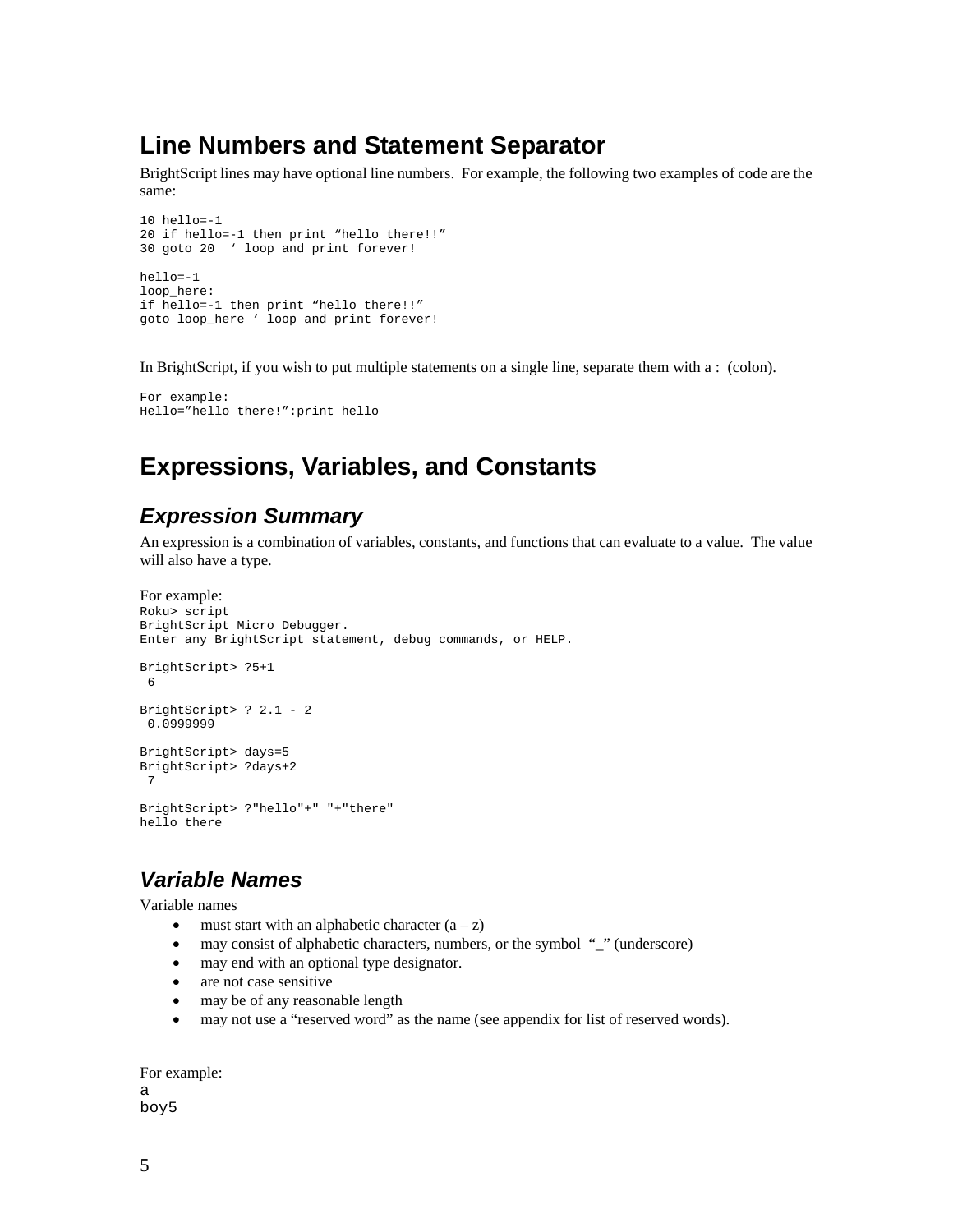# **Line Numbers and Statement Separator**

BrightScript lines may have optional line numbers. For example, the following two examples of code are the same:

```
10 hello=-1 
20 if hello=-1 then print "hello there!!" 
30 goto 20 ' loop and print forever! 
hello=-1 
loop_here: 
if hello=-1 then print "hello there!!" 
goto loop_here ' loop and print forever!
```
In BrightScript, if you wish to put multiple statements on a single line, separate them with a : (colon).

```
For example: 
Hello="hello there!":print hello
```
# **Expressions, Variables, and Constants**

#### *Expression Summary*

An expression is a combination of variables, constants, and functions that can evaluate to a value. The value will also have a type.

```
For example: 
Roku> script 
BrightScript Micro Debugger. 
Enter any BrightScript statement, debug commands, or HELP. 
BrightScript> ?5+1 
  6 
BrightScript> ? 2.1 - 2 
  0.0999999 
BrightScript> days=5 
BrightScript> ?days+2 
  7 
BrightScript> ?"hello"+" "+"there" 
hello there
```
#### *Variable Names*

Variable names

- must start with an alphabetic character  $(a z)$
- may consist of alphabetic characters, numbers, or the symbol " " (underscore)
- may end with an optional type designator.
- are not case sensitive
- may be of any reasonable length
- may not use a "reserved word" as the name (see appendix for list of reserved words).

```
For example:
```
a boy5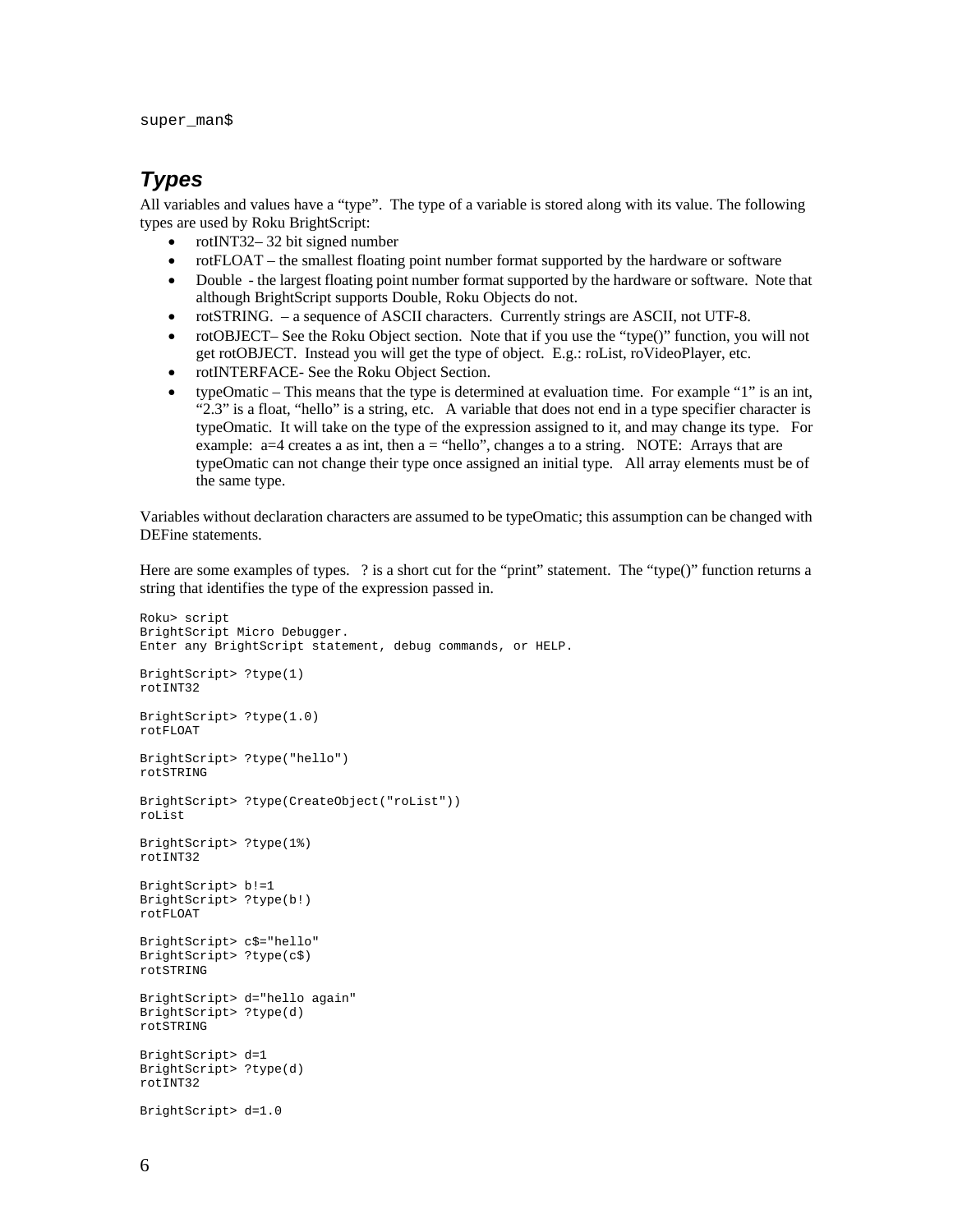super\_man\$

#### *Types*

All variables and values have a "type". The type of a variable is stored along with its value. The following types are used by Roku BrightScript:

- rotINT32– 32 bit signed number
- rotFLOAT the smallest floating point number format supported by the hardware or software
- Double the largest floating point number format supported by the hardware or software. Note that although BrightScript supports Double, Roku Objects do not.
- rotSTRING. a sequence of ASCII characters. Currently strings are ASCII, not UTF-8.
- rotOBJECT– See the Roku Object section. Note that if you use the "type()" function, you will not get rotOBJECT. Instead you will get the type of object. E.g.: roList, roVideoPlayer, etc.
- rotINTERFACE- See the Roku Object Section.
- typeOmatic This means that the type is determined at evaluation time. For example "1" is an int, "2.3" is a float, "hello" is a string, etc. A variable that does not end in a type specifier character is typeOmatic. It will take on the type of the expression assigned to it, and may change its type. For example:  $a=4$  creates a as int, then  $a =$  "hello", changes a to a string. NOTE: Arrays that are typeOmatic can not change their type once assigned an initial type. All array elements must be of the same type.

Variables without declaration characters are assumed to be typeOmatic; this assumption can be changed with DEFine statements.

Here are some examples of types. ? is a short cut for the "print" statement. The "type()" function returns a string that identifies the type of the expression passed in.

```
Roku> script 
BrightScript Micro Debugger. 
Enter any BrightScript statement, debug commands, or HELP. 
BrightScript> ?type(1) 
rotINT32 
BrightScript> ?type(1.0) 
rotFLOAT 
BrightScript> ?type("hello") 
rotSTRING 
BrightScript> ?type(CreateObject("roList")) 
roList 
BrightScript> ?type(1%) 
rotINT32 
BrightScript> b!=1 
BrightScript> ?type(b!) 
rotFLOAT 
BrightScript> c$="hello" 
BrightScript> ?type(c$) 
rotSTRING 
BrightScript> d="hello again" 
BrightScript> ?type(d) 
rotSTRING 
BrightScript> d=1 
BrightScript> ?type(d) 
rotINT32 
BrightScript> d=1.0
```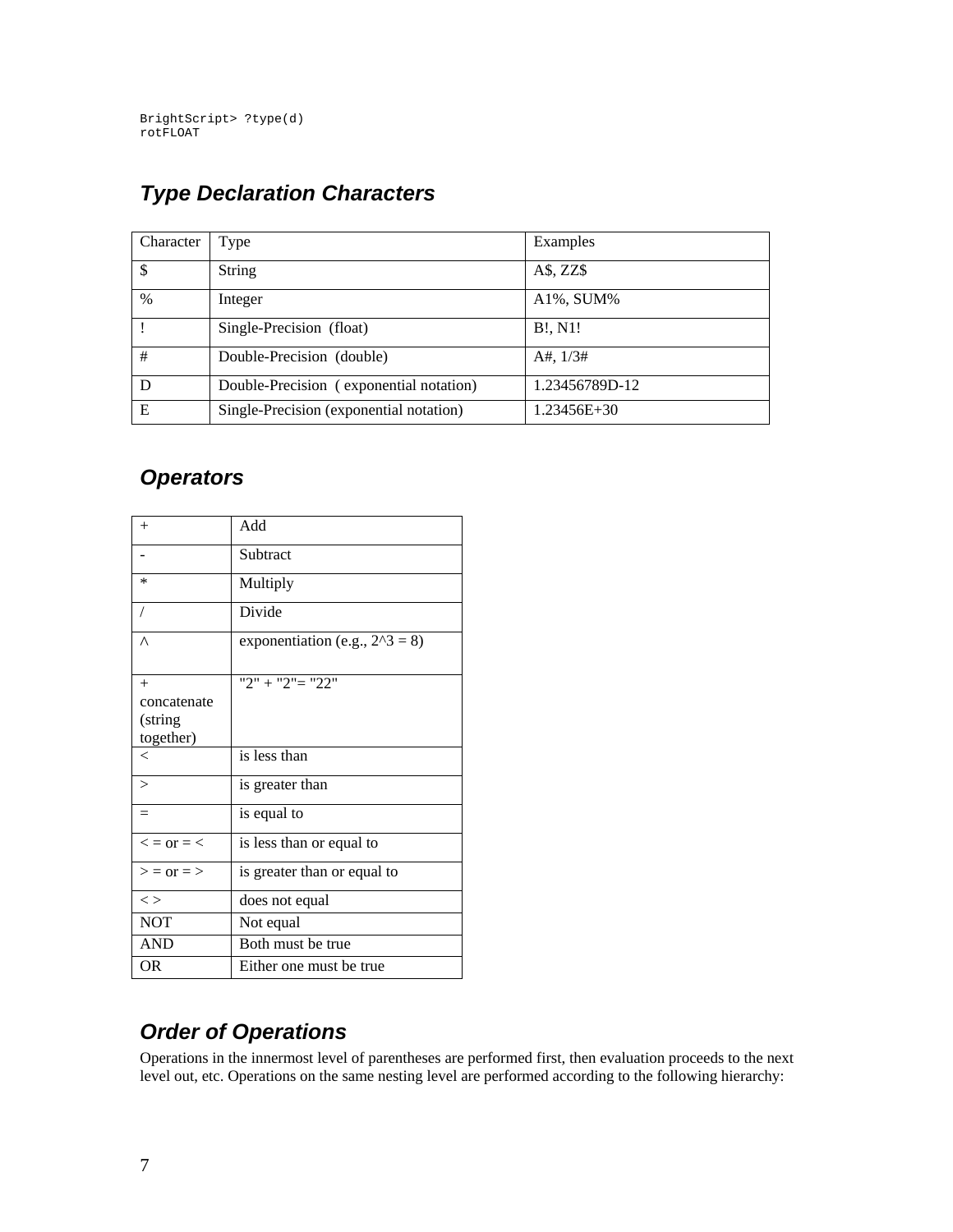BrightScript> ?type(d) rotFLOAT

# *Type Declaration Characters*

| Character | Type                                    | Examples       |
|-----------|-----------------------------------------|----------------|
|           | <b>String</b>                           | $A\$ , ZZ\     |
| $\%$      | Integer                                 | A1%, SUM%      |
|           | Single-Precision (float)                | B!, N1!        |
| #         | Double-Precision (double)               | A#, $1/3#$     |
| D         | Double-Precision (exponential notation) | 1.23456789D-12 |
| E         | Single-Precision (exponential notation) | 1.23456E+30    |

### *Operators*

| $^{+}$               | Add                               |
|----------------------|-----------------------------------|
|                      | Subtract                          |
| $\ast$               | Multiply                          |
| $\overline{1}$       | Divide                            |
| $\wedge$             | exponentiation (e.g., $2^3 = 8$ ) |
| $^{+}$               | $"2" + "2" = "22"$                |
| concatenate          |                                   |
| (string              |                                   |
| together)            |                                   |
| $\,<\,$              | is less than                      |
| $\geq$               | is greater than                   |
| $=$                  | is equal to                       |
| $\leq$ = or = $\leq$ | is less than or equal to          |
| $>$ = or = >         | is greater than or equal to       |
| $\lt$                | does not equal                    |
| <b>NOT</b>           | Not equal                         |
| <b>AND</b>           | Both must be true                 |
| OR                   | Either one must be true           |

# *Order of Operations*

Operations in the innermost level of parentheses are performed first, then evaluation proceeds to the next level out, etc. Operations on the same nesting level are performed according to the following hierarchy: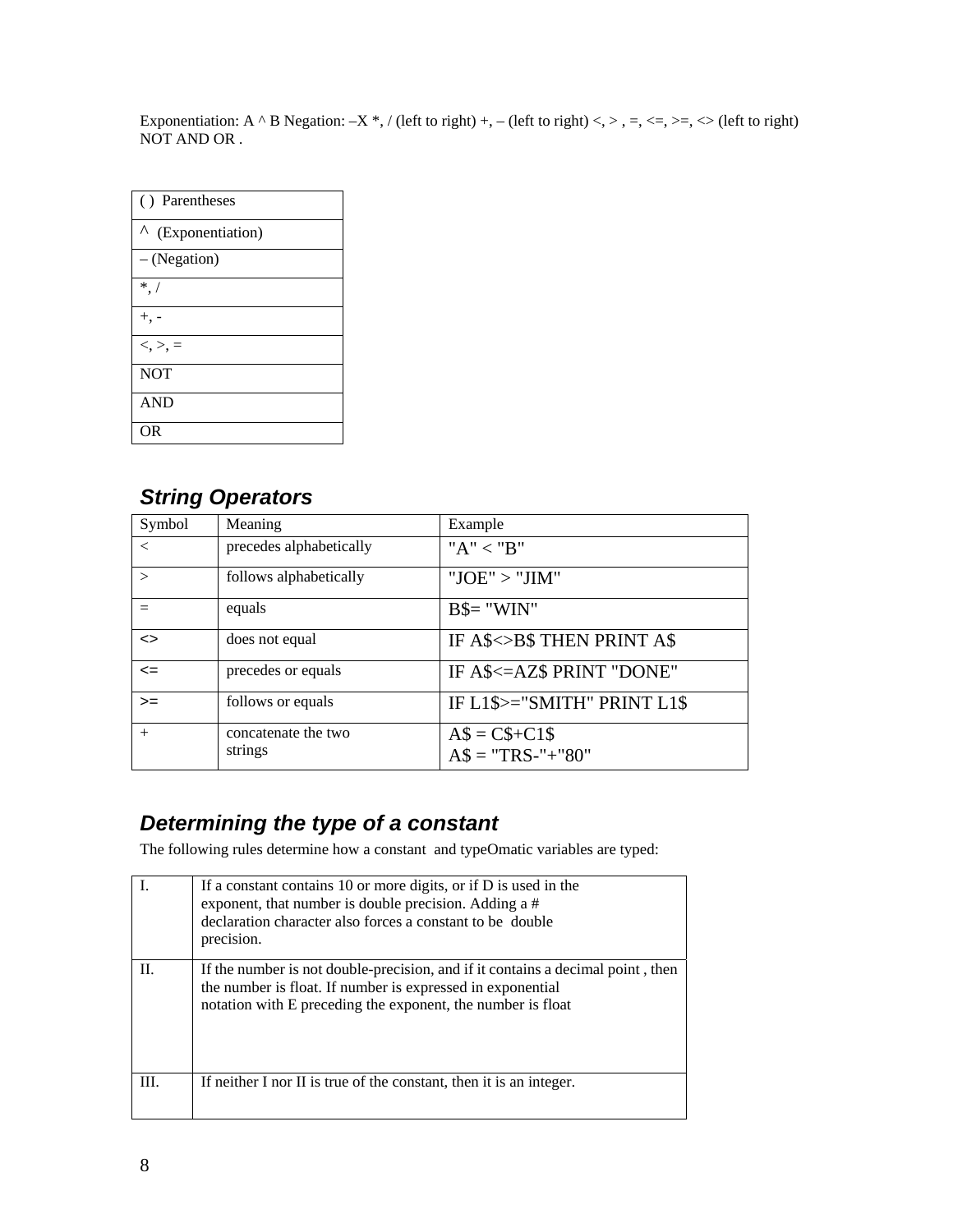Exponentiation: A  $\wedge$  B Negation:  $-X^*$ , / (left to right) +, – (left to right) <, >, =, <=, >=, <> (left to right) NOT AND OR .

| () Parentheses        |
|-----------------------|
| Λ<br>(Exponentiation) |
| - (Negation)          |
| $*$ /                 |
| +. -                  |
| $<,>, =$              |
| <b>NOT</b>            |
| <b>AND</b>            |
| ΩR                    |

### *String Operators*

| Symbol            | Meaning                        | Example                             |
|-------------------|--------------------------------|-------------------------------------|
| $\,<\,$           | precedes alphabetically        | " $A" < "B"$                        |
|                   | follows alphabetically         | " $JOE" > "JIM"$                    |
|                   | equals                         | $B$ = "WIN"$                        |
| $\leftrightarrow$ | does not equal                 | IF A\$<>B\$ THEN PRINT A\$          |
| $\leq$            | precedes or equals             | IF A\$<=AZ\$ PRINT "DONE"           |
| $>=$              | follows or equals              | IF L1\$>="SMITH" PRINT L1\$         |
| $+$               | concatenate the two<br>strings | $AS = C$+C1$$<br>$AS = "TRS-"+"80"$ |

### *Determining the type of a constant*

The following rules determine how a constant and typeOmatic variables are typed:

|      | If a constant contains 10 or more digits, or if D is used in the<br>exponent, that number is double precision. Adding a #<br>declaration character also forces a constant to be double<br>precision.         |
|------|--------------------------------------------------------------------------------------------------------------------------------------------------------------------------------------------------------------|
| П.   | If the number is not double-precision, and if it contains a decimal point, then<br>the number is float. If number is expressed in exponential<br>notation with E preceding the exponent, the number is float |
| III. | If neither I nor II is true of the constant, then it is an integer.                                                                                                                                          |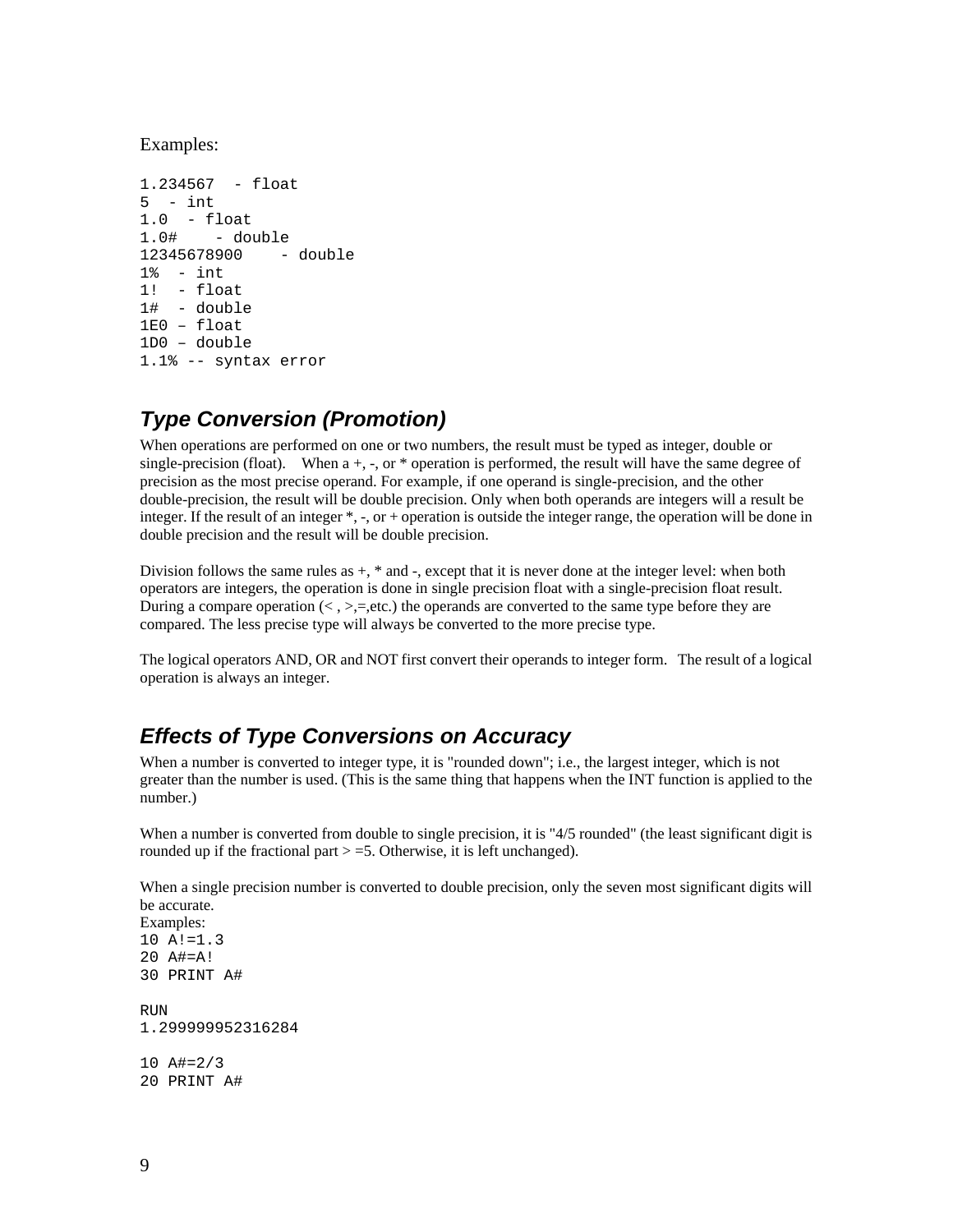Examples:

```
1.234567 - float 
5 - int1.0 - float 
1.0# - double<br>12345678900 - double
12345678900
1% - int 
1! - float 
1# - double 
1E0 – float 
1D0 – double 
1.1% -- syntax error
```
### *Type Conversion (Promotion)*

When operations are performed on one or two numbers, the result must be typed as integer, double or single-precision (float). When  $a +$ ,  $\overline{a}$ , or  $\overline{\phantom{a}}$  operation is performed, the result will have the same degree of precision as the most precise operand. For example, if one operand is single-precision, and the other double-precision, the result will be double precision. Only when both operands are integers will a result be integer. If the result of an integer \*, -, or + operation is outside the integer range, the operation will be done in double precision and the result will be double precision.

Division follows the same rules as  $+$ ,  $*$  and  $-$ , except that it is never done at the integer level: when both operators are integers, the operation is done in single precision float with a single-precision float result. During a compare operation  $\langle \langle , \rangle =,$  etc.) the operands are converted to the same type before they are compared. The less precise type will always be converted to the more precise type.

The logical operators AND, OR and NOT first convert their operands to integer form. The result of a logical operation is always an integer.

#### *Effects of Type Conversions on Accuracy*

When a number is converted to integer type, it is "rounded down"; i.e., the largest integer, which is not greater than the number is used. (This is the same thing that happens when the INT function is applied to the number.)

When a number is converted from double to single precision, it is "4/5 rounded" (the least significant digit is rounded up if the fractional part  $> = 5$ . Otherwise, it is left unchanged).

When a single precision number is converted to double precision, only the seven most significant digits will be accurate.

```
Examples: 
10 A!=1.3 
20 A#=A! 
30 PRINT A# 
RUN 
1.299999952316284 
10 A#=2/3 
20 PRINT A#
```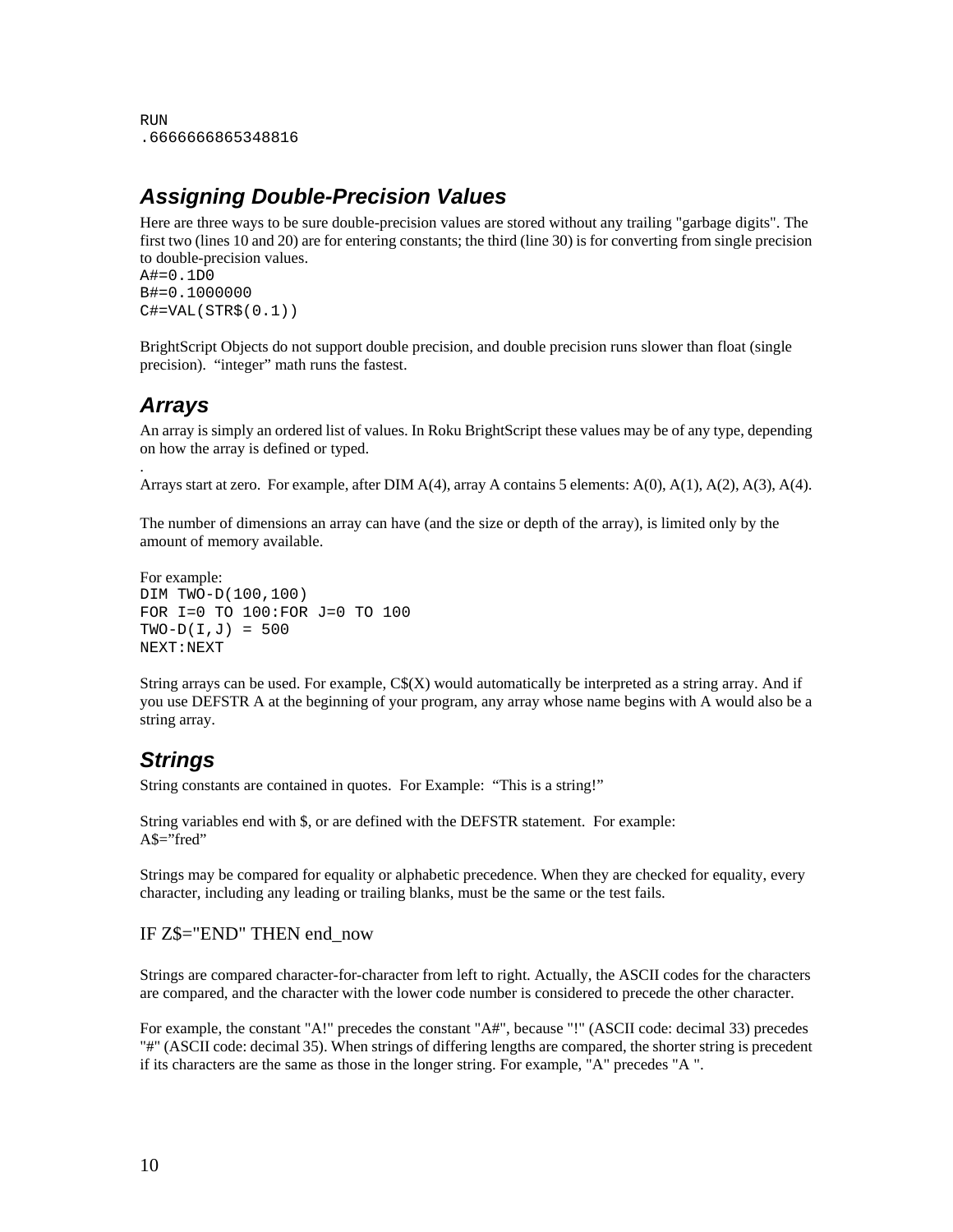```
RIN
.6666666865348816
```
#### *Assigning Double-Precision Values*

Here are three ways to be sure double-precision values are stored without any trailing "garbage digits". The first two (lines 10 and 20) are for entering constants; the third (line 30) is for converting from single precision to double-precision values. A#=0.1D0

```
B#=0.1000000 
C#=VAL (STR$(0.1))
```
BrightScript Objects do not support double precision, and double precision runs slower than float (single precision). "integer" math runs the fastest.

#### *Arrays*

.

An array is simply an ordered list of values. In Roku BrightScript these values may be of any type, depending on how the array is defined or typed.

Arrays start at zero. For example, after DIM A(4), array A contains 5 elements: A(0), A(1), A(2), A(3), A(4).

The number of dimensions an array can have (and the size or depth of the array), is limited only by the amount of memory available.

```
For example: 
DIM TWO-D(100,100) 
FOR I=0 TO 100:FOR J=0 TO 100 
TWO-D(I,J) = 500NEXT:NEXT
```
String arrays can be used. For example,  $C<sup>S</sup>(X)$  would automatically be interpreted as a string array. And if you use DEFSTR A at the beginning of your program, any array whose name begins with A would also be a string array.

### *Strings*

String constants are contained in quotes. For Example: "This is a string!"

String variables end with \$, or are defined with the DEFSTR statement. For example: A\$="fred"

Strings may be compared for equality or alphabetic precedence. When they are checked for equality, every character, including any leading or trailing blanks, must be the same or the test fails.

#### IF Z\$="END" THEN end\_now

Strings are compared character-for-character from left to right. Actually, the ASCII codes for the characters are compared, and the character with the lower code number is considered to precede the other character.

For example, the constant "A!" precedes the constant "A#", because "!" (ASCII code: decimal 33) precedes "#" (ASCII code: decimal 35). When strings of differing lengths are compared, the shorter string is precedent if its characters are the same as those in the longer string. For example, "A" precedes "A ".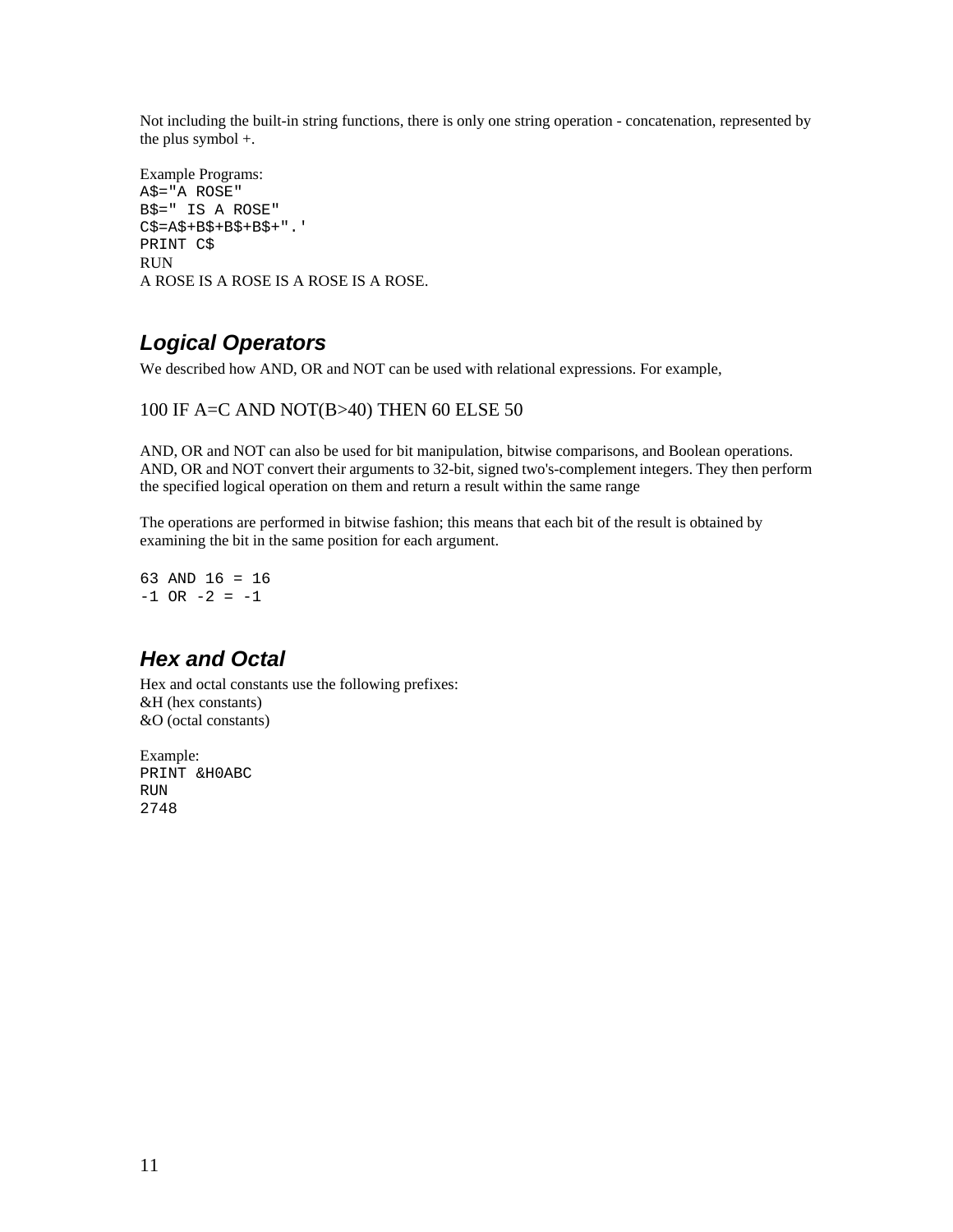Not including the built-in string functions, there is only one string operation - concatenation, represented by the plus symbol +.

```
Example Programs: 
A$="A ROSE" 
B$=" IS A ROSE" 
C$=A$+B$+B$+B$+".' 
PRINT C$ 
RUN 
A ROSE IS A ROSE IS A ROSE IS A ROSE.
```
### *Logical Operators*

We described how AND, OR and NOT can be used with relational expressions. For example,

#### 100 IF A=C AND NOT(B>40) THEN 60 ELSE 50

AND, OR and NOT can also be used for bit manipulation, bitwise comparisons, and Boolean operations. AND, OR and NOT convert their arguments to 32-bit, signed two's-complement integers. They then perform the specified logical operation on them and return a result within the same range

The operations are performed in bitwise fashion; this means that each bit of the result is obtained by examining the bit in the same position for each argument.

63 AND 16 = 16  $-1$  OR  $-2 = -1$ 

### *Hex and Octal*

Hex and octal constants use the following prefixes: &H (hex constants) &O (octal constants)

Example: PRINT &H0ABC RUN 2748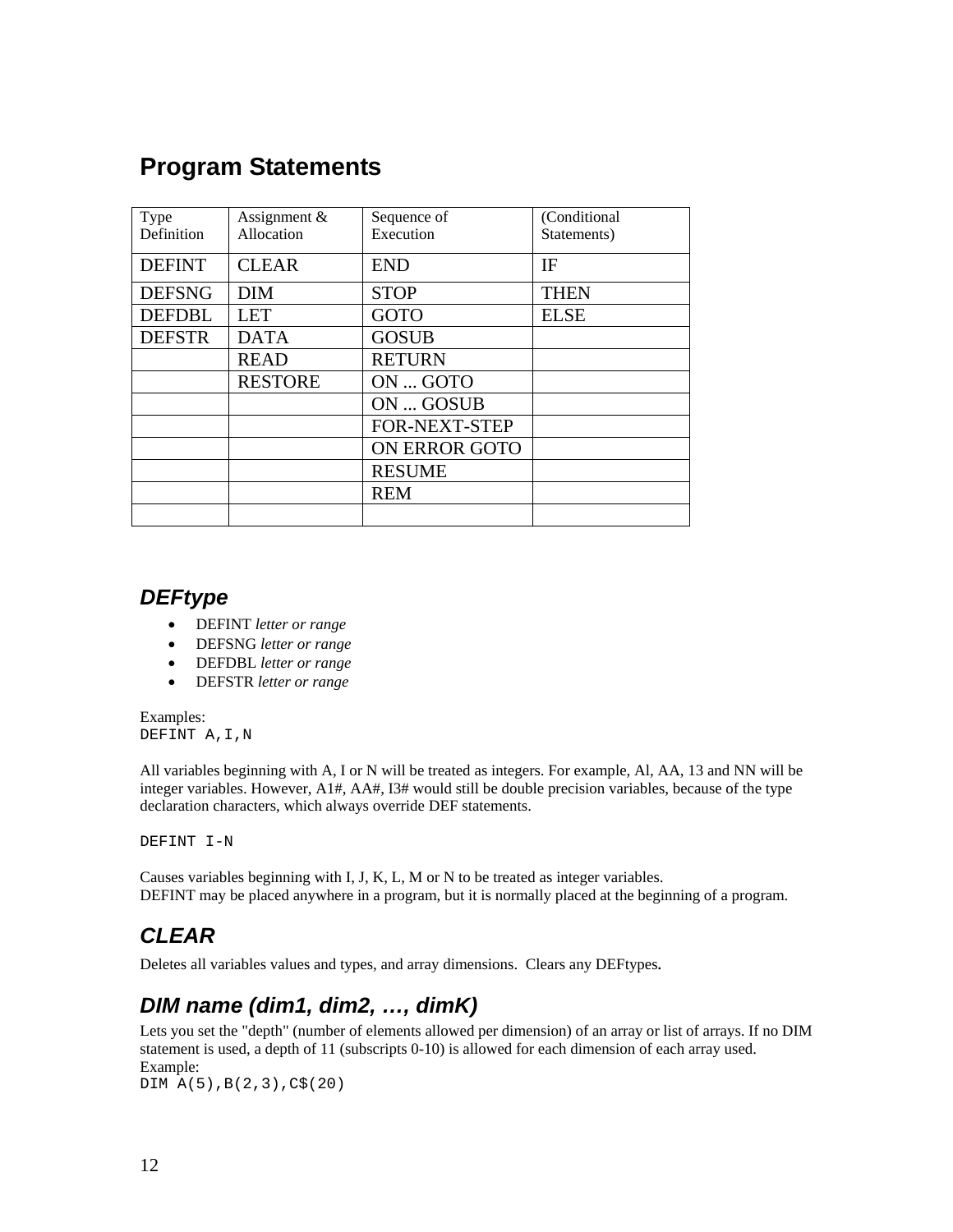## **Program Statements**

| Type          | Assignment &   | Sequence of          | (Conditional |
|---------------|----------------|----------------------|--------------|
| Definition    | Allocation     | Execution            | Statements)  |
| <b>DEFINT</b> | <b>CLEAR</b>   | <b>END</b>           | IF           |
| <b>DEFSNG</b> | <b>DIM</b>     | <b>STOP</b>          | <b>THEN</b>  |
| <b>DEFDBL</b> | <b>LET</b>     | <b>GOTO</b>          | <b>ELSE</b>  |
| <b>DEFSTR</b> | <b>DATA</b>    | <b>GOSUB</b>         |              |
|               | <b>READ</b>    | <b>RETURN</b>        |              |
|               | <b>RESTORE</b> | ON  GOTO             |              |
|               |                | ON  GOSUB            |              |
|               |                | <b>FOR-NEXT-STEP</b> |              |
|               |                | <b>ON ERROR GOTO</b> |              |
|               |                | <b>RESUME</b>        |              |
|               |                | <b>REM</b>           |              |
|               |                |                      |              |

#### *DEFtype*

- DEFINT *letter or range*
- DEFSNG *letter or range*
- DEFDBL *letter or range*
- DEFSTR *letter or range*

Examples: DEFINT A,I,N

All variables beginning with A, I or N will be treated as integers. For example, Al, AA, 13 and NN will be integer variables. However, A1#, AA#, I3# would still be double precision variables, because of the type declaration characters, which always override DEF statements.

DEFINT I-N

Causes variables beginning with I, J, K, L, M or N to be treated as integer variables. DEFINT may be placed anywhere in a program, but it is normally placed at the beginning of a program.

## *CLEAR*

Deletes all variables values and types, and array dimensions. Clears any DEFtypes*.*

### *DIM name (dim1, dim2, …, dimK)*

Lets you set the "depth" (number of elements allowed per dimension) of an array or list of arrays. If no DIM statement is used, a depth of 11 (subscripts 0-10) is allowed for each dimension of each array used. Example:

DIM A(5),B(2,3),C\$(20)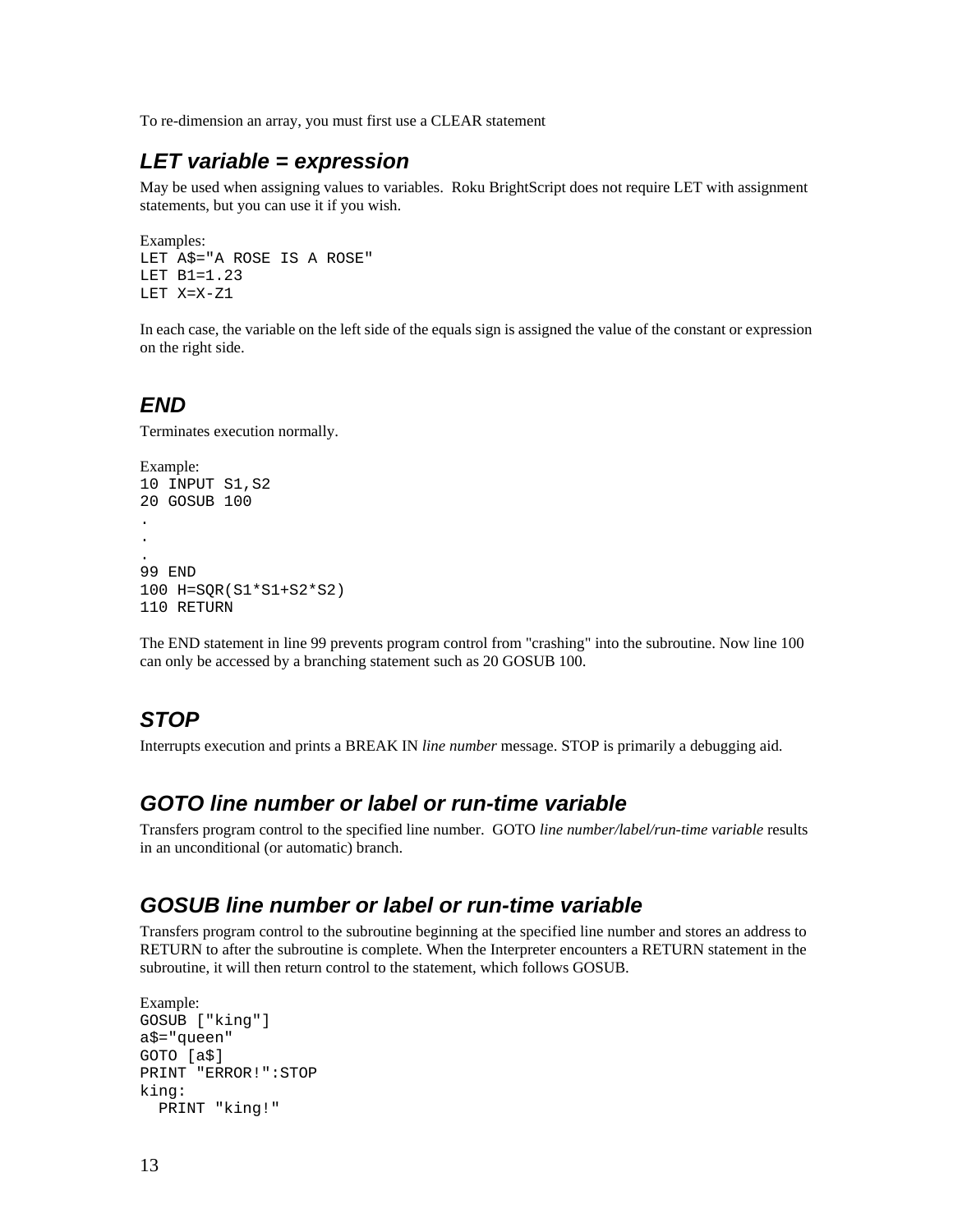To re-dimension an array, you must first use a CLEAR statement

#### *LET variable = expression*

May be used when assigning values to variables. Roku BrightScript does not require LET with assignment statements, but you can use it if you wish.

```
Examples: 
LET A$="A ROSE IS A ROSE" 
LET B1=1.23 
LET X=X-Z1
```
In each case, the variable on the left side of the equals sign is assigned the value of the constant or expression on the right side.

#### *END*

Terminates execution normally.

```
Example: 
10 INPUT S1,S2 
20 GOSUB 100 
. 
. 
. 
99 END 
100 H=SQR(S1*S1+S2*S2) 
110 RETURN
```
The END statement in line 99 prevents program control from "crashing" into the subroutine. Now line 100 can only be accessed by a branching statement such as 20 GOSUB 100.

### *STOP*

Interrupts execution and prints a BREAK IN *line number* message. STOP is primarily a debugging aid.

#### *GOTO line number or label or run-time variable*

Transfers program control to the specified line number. GOTO *line number/label/run-time variable* results in an unconditional (or automatic) branch.

#### *GOSUB line number or label or run-time variable*

Transfers program control to the subroutine beginning at the specified line number and stores an address to RETURN to after the subroutine is complete. When the Interpreter encounters a RETURN statement in the subroutine, it will then return control to the statement, which follows GOSUB.

```
Example: 
GOSUB ["king"] 
a$="queen" 
GOTO [a$] 
PRINT "ERROR!":STOP 
king: 
   PRINT "king!"
```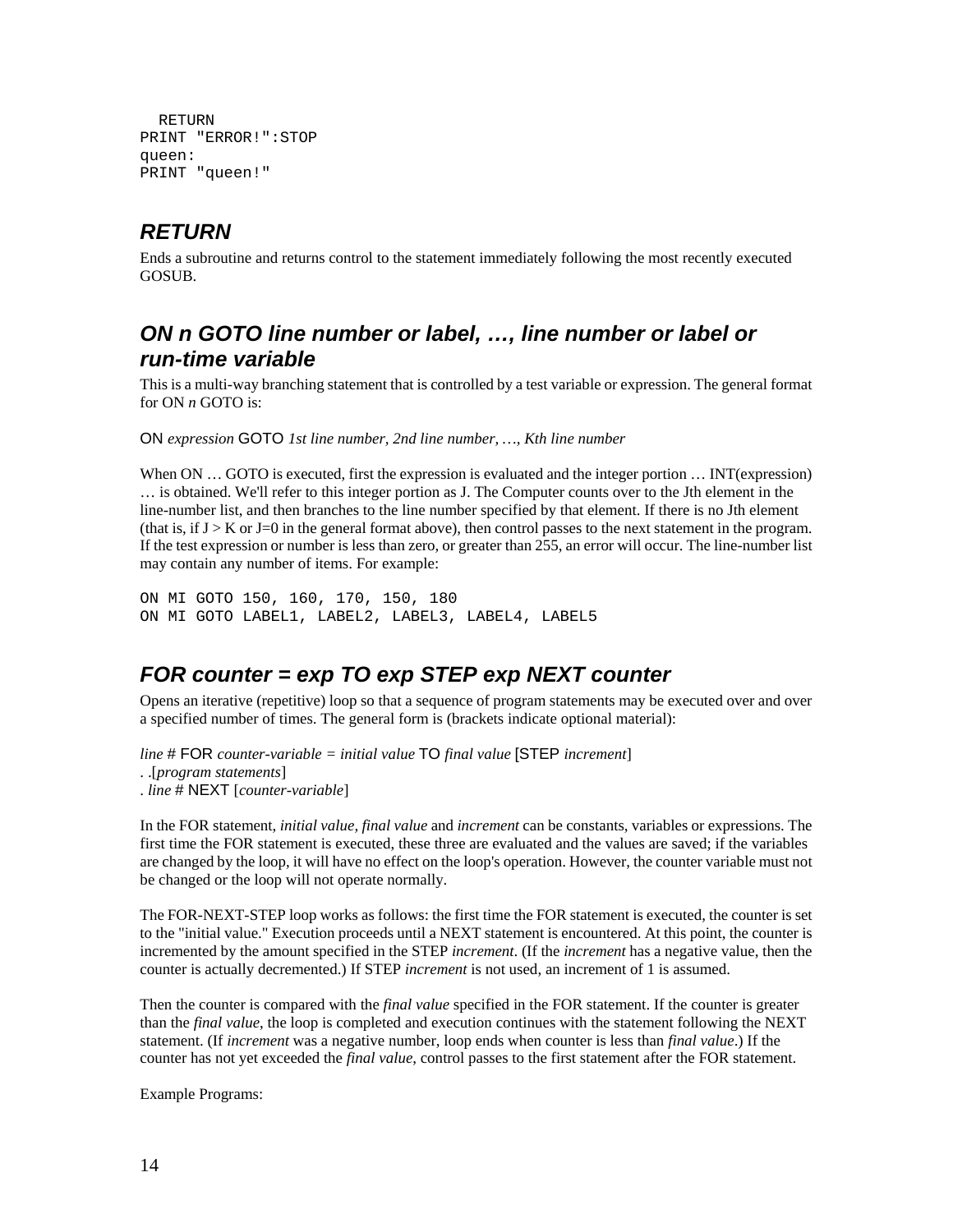```
 RETURN 
PRINT "ERROR!":STOP 
queen: 
PRINT "queen!"
```
### *RETURN*

Ends a subroutine and returns control to the statement immediately following the most recently executed GOSUB.

#### *ON n GOTO line number or label, …, line number or label or run-time variable*

This is a multi-way branching statement that is controlled by a test variable or expression. The general format for ON *n* GOTO is:

ON *expression* GOTO *1st line number, 2nd line number, …, Kth line number*

When ON ... GOTO is executed, first the expression is evaluated and the integer portion ... INT(expression) … is obtained. We'll refer to this integer portion as J. The Computer counts over to the Jth element in the line-number list, and then branches to the line number specified by that element. If there is no Jth element (that is, if  $J > K$  or  $J=0$  in the general format above), then control passes to the next statement in the program. If the test expression or number is less than zero, or greater than 255, an error will occur. The line-number list may contain any number of items. For example:

ON MI GOTO 150, 160, 170, 150, 180 ON MI GOTO LABEL1, LABEL2, LABEL3, LABEL4, LABEL5

### *FOR counter = exp TO exp STEP exp NEXT counter*

Opens an iterative (repetitive) loop so that a sequence of program statements may be executed over and over a specified number of times. The general form is (brackets indicate optional material):

*line* # FOR *counter-variable = initial value* TO *final value* [STEP *increment*] . .[*program statements*] . *line* # NEXT [*counter-variable*]

In the FOR statement, *initial value, final value* and *increment* can be constants, variables or expressions. The first time the FOR statement is executed, these three are evaluated and the values are saved; if the variables are changed by the loop, it will have no effect on the loop's operation. However, the counter variable must not be changed or the loop will not operate normally.

The FOR-NEXT-STEP loop works as follows: the first time the FOR statement is executed, the counter is set to the "initial value." Execution proceeds until a NEXT statement is encountered. At this point, the counter is incremented by the amount specified in the STEP *increment*. (If the *increment* has a negative value, then the counter is actually decremented.) If STEP *increment* is not used, an increment of 1 is assumed.

Then the counter is compared with the *final value* specified in the FOR statement. If the counter is greater than the *final value*, the loop is completed and execution continues with the statement following the NEXT statement. (If *increment* was a negative number, loop ends when counter is less than *final value*.) If the counter has not yet exceeded the *final value*, control passes to the first statement after the FOR statement.

Example Programs: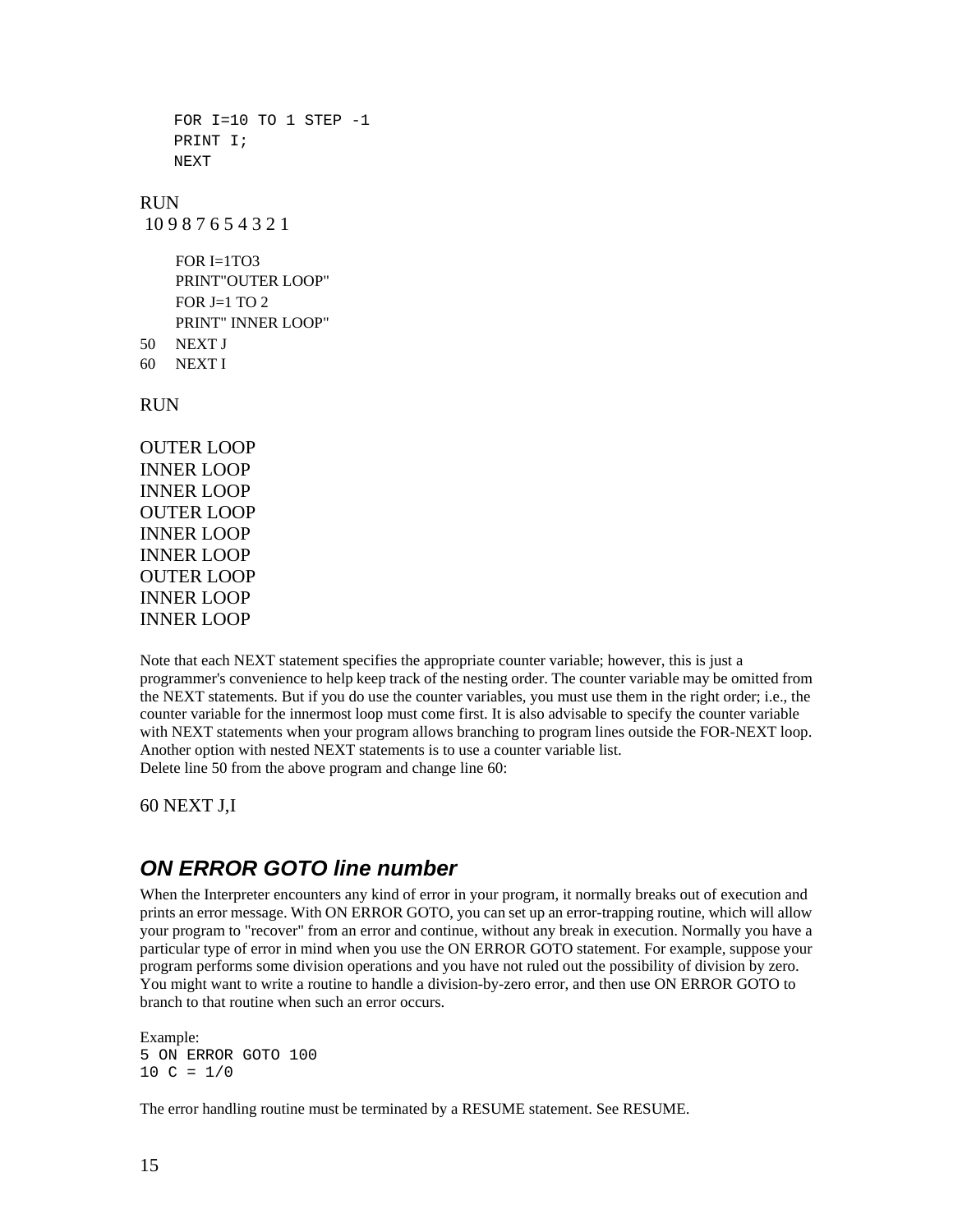```
FOR I=10 TO 1 STEP -1 PRINT I; 
     NEXT 
RUN 
 10 9 8 7 6 5 4 3 2 1 
    FOR I=1T<sub>O</sub>3 PRINT"OUTER LOOP" 
    FOR J=1 TO 2
     PRINT" INNER LOOP" 
50 NEXT J 
60 NEXT I 
RUN 
OUTER LOOP 
INNER LOOP 
INNER LOOP 
OUTER LOOP 
INNER LOOP 
INNER LOOP 
OUTER LOOP 
INNER LOOP
```
Note that each NEXT statement specifies the appropriate counter variable; however, this is just a programmer's convenience to help keep track of the nesting order. The counter variable may be omitted from the NEXT statements. But if you do use the counter variables, you must use them in the right order; i.e., the counter variable for the innermost loop must come first. It is also advisable to specify the counter variable with NEXT statements when your program allows branching to program lines outside the FOR-NEXT loop. Another option with nested NEXT statements is to use a counter variable list. Delete line 50 from the above program and change line 60:

60 NEXT J,I

INNER LOOP

#### *ON ERROR GOTO line number*

When the Interpreter encounters any kind of error in your program, it normally breaks out of execution and prints an error message. With ON ERROR GOTO, you can set up an error-trapping routine, which will allow your program to "recover" from an error and continue, without any break in execution. Normally you have a particular type of error in mind when you use the ON ERROR GOTO statement. For example, suppose your program performs some division operations and you have not ruled out the possibility of division by zero. You might want to write a routine to handle a division-by-zero error, and then use ON ERROR GOTO to branch to that routine when such an error occurs.

Example: 5 ON ERROR GOTO 100  $10 C = 1/0$ 

The error handling routine must be terminated by a RESUME statement. See RESUME.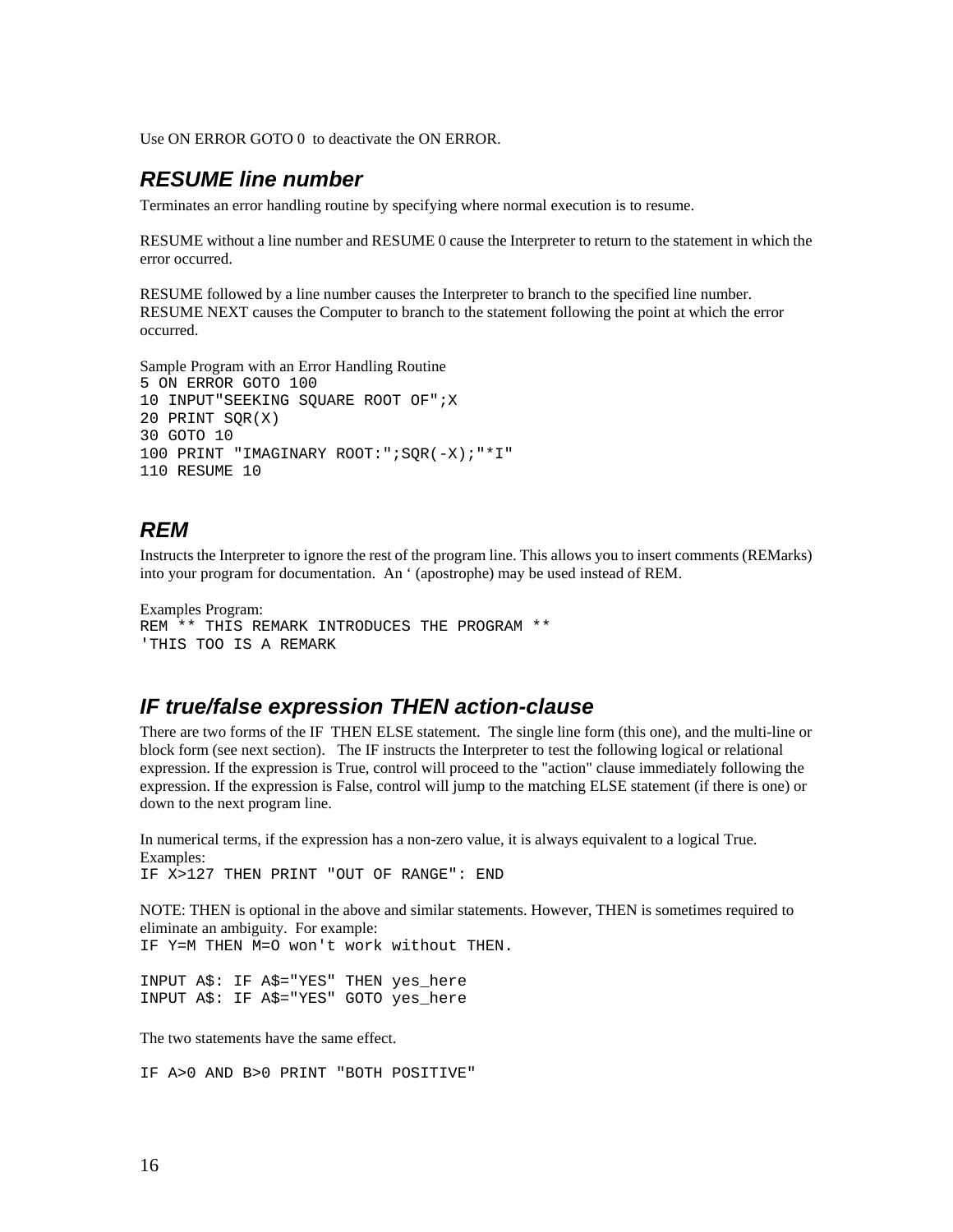Use ON ERROR GOTO 0 to deactivate the ON ERROR.

#### *RESUME line number*

Terminates an error handling routine by specifying where normal execution is to resume.

RESUME without a line number and RESUME 0 cause the Interpreter to return to the statement in which the error occurred.

RESUME followed by a line number causes the Interpreter to branch to the specified line number. RESUME NEXT causes the Computer to branch to the statement following the point at which the error occurred.

```
Sample Program with an Error Handling Routine 
5 ON ERROR GOTO 100 
10 INPUT"SEEKING SQUARE ROOT OF";X 
20 PRINT SQR(X) 
30 GOTO 10 
100 PRINT "IMAGINARY ROOT:";SQR(-X);"*I" 
110 RESUME 10
```
#### *REM*

Instructs the Interpreter to ignore the rest of the program line. This allows you to insert comments (REMarks) into your program for documentation. An ' (apostrophe) may be used instead of REM.

```
Examples Program: 
REM ** THIS REMARK INTRODUCES THE PROGRAM ** 
'THIS TOO IS A REMARK
```
#### *IF true/false expression THEN action-clause*

There are two forms of the IF THEN ELSE statement. The single line form (this one), and the multi-line or block form (see next section). The IF instructs the Interpreter to test the following logical or relational expression. If the expression is True, control will proceed to the "action" clause immediately following the expression. If the expression is False, control will jump to the matching ELSE statement (if there is one) or down to the next program line.

In numerical terms, if the expression has a non-zero value, it is always equivalent to a logical True. Examples: IF X>127 THEN PRINT "OUT OF RANGE": END

NOTE: THEN is optional in the above and similar statements. However, THEN is sometimes required to eliminate an ambiguity. For example: IF Y=M THEN M=O won't work without THEN.

INPUT A\$: IF A\$="YES" THEN yes\_here INPUT A\$: IF A\$="YES" GOTO yes\_here

The two statements have the same effect.

IF A>0 AND B>0 PRINT "BOTH POSITIVE"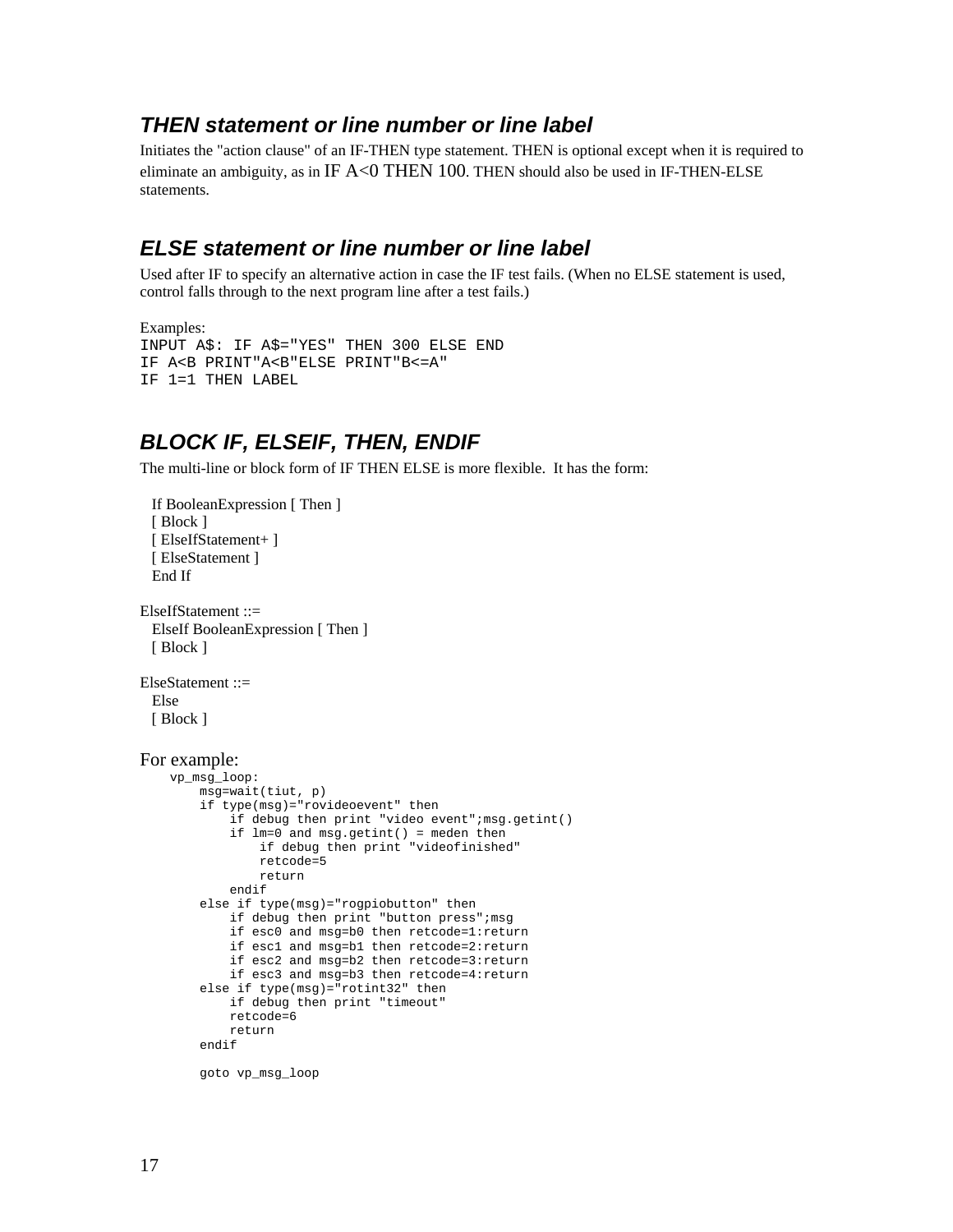#### *THEN statement or line number or line label*

Initiates the "action clause" of an IF-THEN type statement. THEN is optional except when it is required to eliminate an ambiguity, as in IF  $A \le 0$  THEN 100. THEN should also be used in IF-THEN-ELSE statements.

#### *ELSE statement or line number or line label*

Used after IF to specify an alternative action in case the IF test fails. (When no ELSE statement is used, control falls through to the next program line after a test fails.)

```
Examples: 
INPUT A$: IF A$="YES" THEN 300 ELSE END 
IF A<B PRINT"A<B"ELSE PRINT"B<=A" 
IF 1=1 THEN LABEL
```
#### *BLOCK IF, ELSEIF, THEN, ENDIF*

The multi-line or block form of IF THEN ELSE is more flexible. It has the form:

```
 If BooleanExpression [ Then ] 
 [ Block ]
  [ ElseIfStatement+ ] 
  [ ElseStatement ] 
  End If 
ElseIfStatement ::= 
  ElseIf BooleanExpression [ Then ] 
  [ Block ] 
ElseStatement ::= 
  Else 
 [ Block ]
For example: 
     vp_msg_loop: 
          msg=wait(tiut, p) 
          if type(msg)="rovideoevent" then 
             if debug then print "video event"; msg.getint()
              if lm=0 and msg.getint() = meden then 
                   if debug then print "videofinished" 
                  retcode=5 
                  return 
              endif 
          else if type(msg)="rogpiobutton" then 
              if debug then print "button press";msg 
              if esc0 and msg=b0 then retcode=1:return 
              if esc1 and msg=b1 then retcode=2:return 
              if esc2 and msg=b2 then retcode=3:return 
              if esc3 and msg=b3 then retcode=4:return 
          else if type(msg)="rotint32" then 
              if debug then print "timeout" 
              retcode=6 
              return 
          endif 
         goto vp_msg_loop
```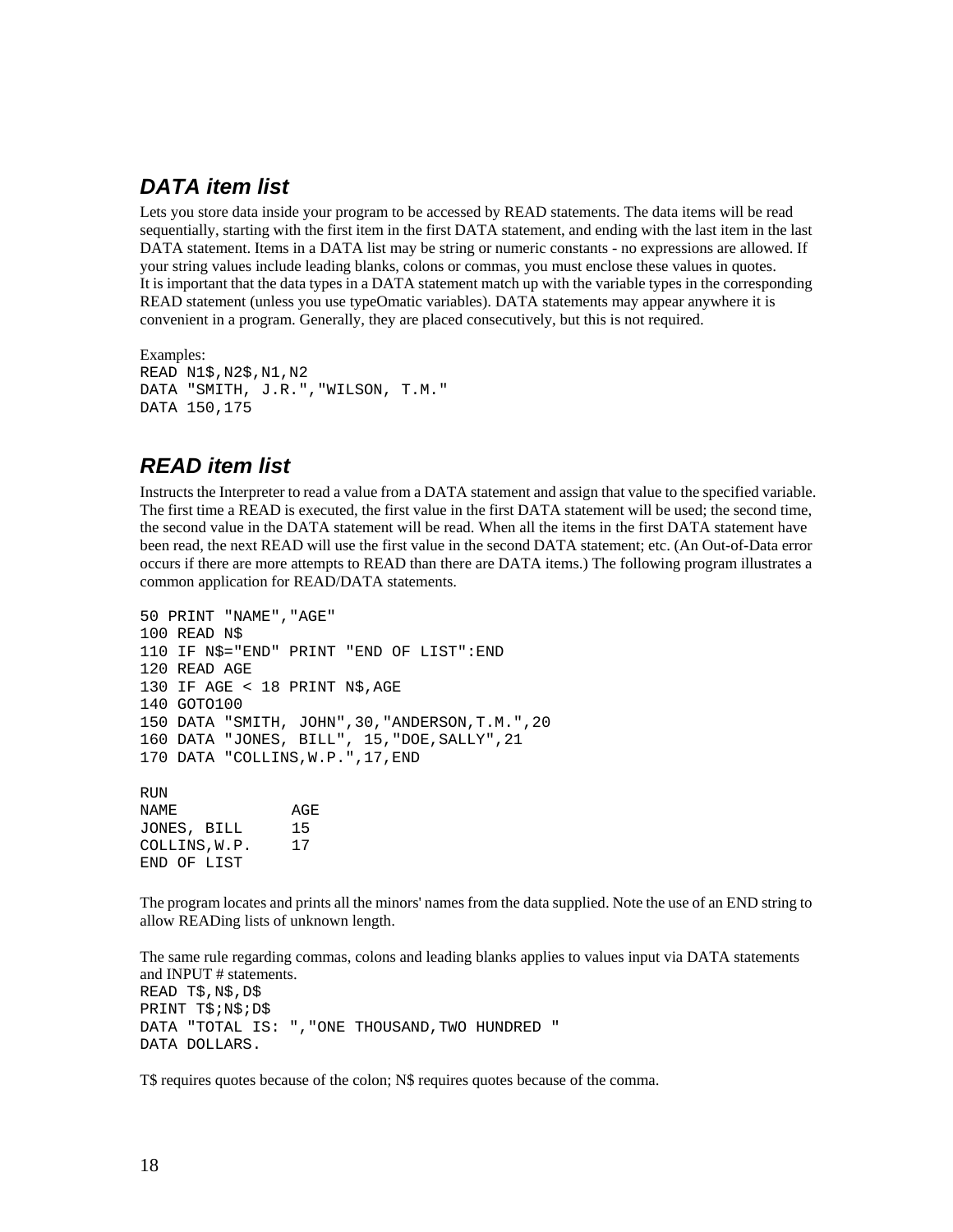#### *DATA item list*

Lets you store data inside your program to be accessed by READ statements. The data items will be read sequentially, starting with the first item in the first DATA statement, and ending with the last item in the last DATA statement. Items in a DATA list may be string or numeric constants - no expressions are allowed. If your string values include leading blanks, colons or commas, you must enclose these values in quotes. It is important that the data types in a DATA statement match up with the variable types in the corresponding READ statement (unless you use typeOmatic variables). DATA statements may appear anywhere it is convenient in a program. Generally, they are placed consecutively, but this is not required.

```
Examples: 
READ N1$,N2$,N1,N2 
DATA "SMITH, J.R.","WILSON, T.M." 
DATA 150,175
```
#### *READ item list*

END OF LIST

Instructs the Interpreter to read a value from a DATA statement and assign that value to the specified variable. The first time a READ is executed, the first value in the first DATA statement will be used; the second time, the second value in the DATA statement will be read. When all the items in the first DATA statement have been read, the next READ will use the first value in the second DATA statement; etc. (An Out-of-Data error occurs if there are more attempts to READ than there are DATA items.) The following program illustrates a common application for READ/DATA statements.

```
50 PRINT "NAME","AGE" 
100 READ N$ 
110 IF N$="END" PRINT "END OF LIST":END 
120 READ AGE 
130 IF AGE < 18 PRINT N$,AGE 
140 GOTO100 
150 DATA "SMITH, JOHN",30,"ANDERSON,T.M.",20 
160 DATA "JONES, BILL", 15,"DOE,SALLY",21 
170 DATA "COLLINS, W.P.", 17, END
RIIN
NAME AGE
JONES, BILL 15 
COLLINS,W.P. 17
```
The program locates and prints all the minors' names from the data supplied. Note the use of an END string to allow READing lists of unknown length.

The same rule regarding commas, colons and leading blanks applies to values input via DATA statements and INPUT # statements. READ T\$,N\$,D\$ PRINT T\$;N\$;D\$ DATA "TOTAL IS: ","ONE THOUSAND,TWO HUNDRED " DATA DOLLARS.

T\$ requires quotes because of the colon; N\$ requires quotes because of the comma.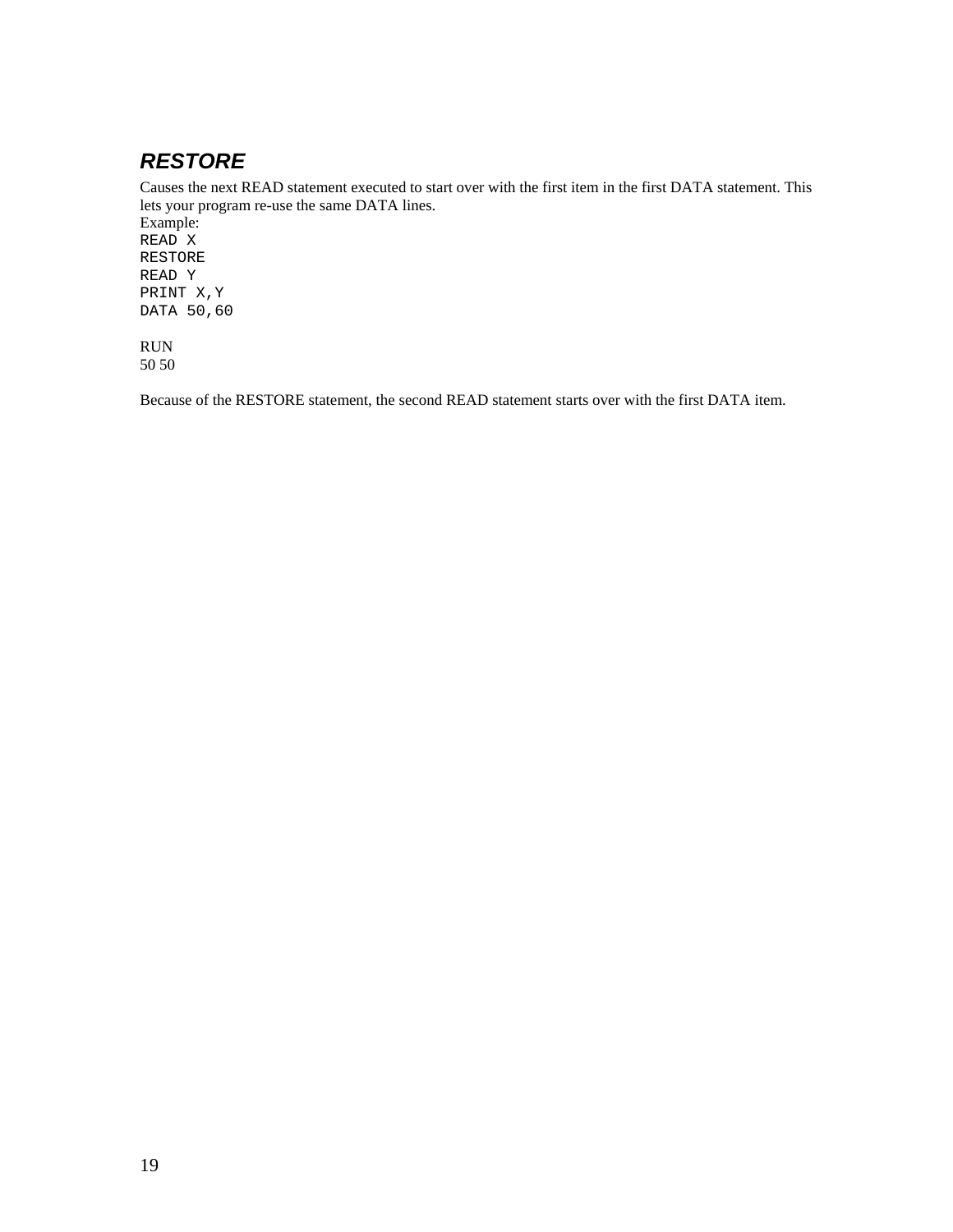## *RESTORE*

Causes the next READ statement executed to start over with the first item in the first DATA statement. This lets your program re-use the same DATA lines.

Example: READ X RESTORE READ Y PRINT X,Y DATA 50,60

RUN 50 50

Because of the RESTORE statement, the second READ statement starts over with the first DATA item.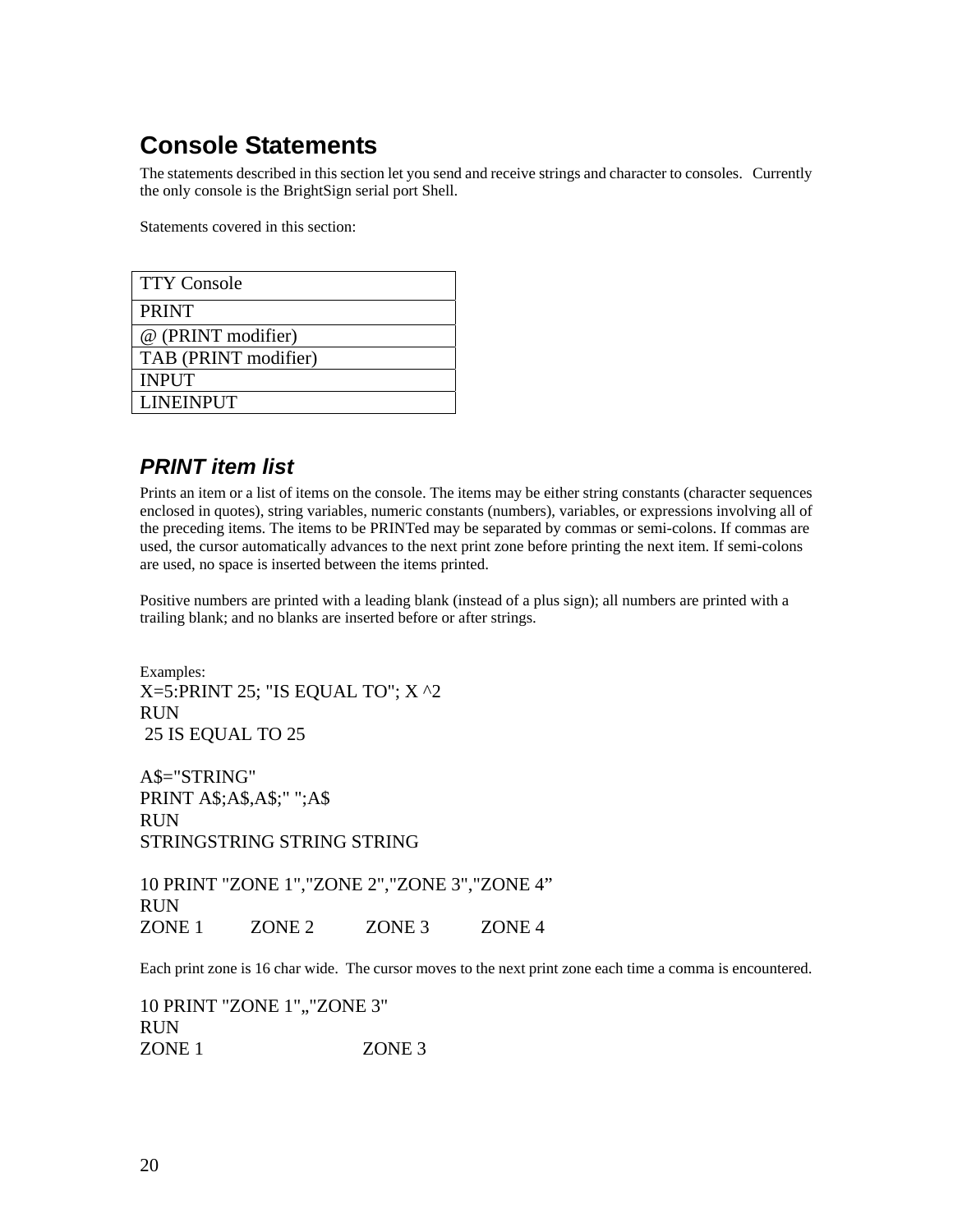# **Console Statements**

The statements described in this section let you send and receive strings and character to consoles. Currently the only console is the BrightSign serial port Shell.

Statements covered in this section:

| <b>TTY Console</b>   |
|----------------------|
| <b>PRINT</b>         |
| @ (PRINT modifier)   |
| TAB (PRINT modifier) |
| <b>INPUT</b>         |
| <b>LINEINPUT</b>     |

### *PRINT item list*

Prints an item or a list of items on the console. The items may be either string constants (character sequences enclosed in quotes), string variables, numeric constants (numbers), variables, or expressions involving all of the preceding items. The items to be PRINTed may be separated by commas or semi-colons. If commas are used, the cursor automatically advances to the next print zone before printing the next item. If semi-colons are used, no space is inserted between the items printed.

Positive numbers are printed with a leading blank (instead of a plus sign); all numbers are printed with a trailing blank; and no blanks are inserted before or after strings.

Examples:  $X=5:PRINT 25$ ; "IS EQUAL TO";  $X \sim 2$ RUN 25 IS EQUAL TO 25

A\$="STRING" PRINT A\$;A\$,A\$;" ";A\$ RUN STRINGSTRING STRING STRING

10 PRINT "ZONE 1","ZONE 2","ZONE 3","ZONE 4" RUN ZONE 1 ZONE 2 ZONE 3 ZONE 4

Each print zone is 16 char wide. The cursor moves to the next print zone each time a comma is encountered.

10 PRINT "ZONE 1", "ZONE 3" RUN ZONE 1 ZONE 3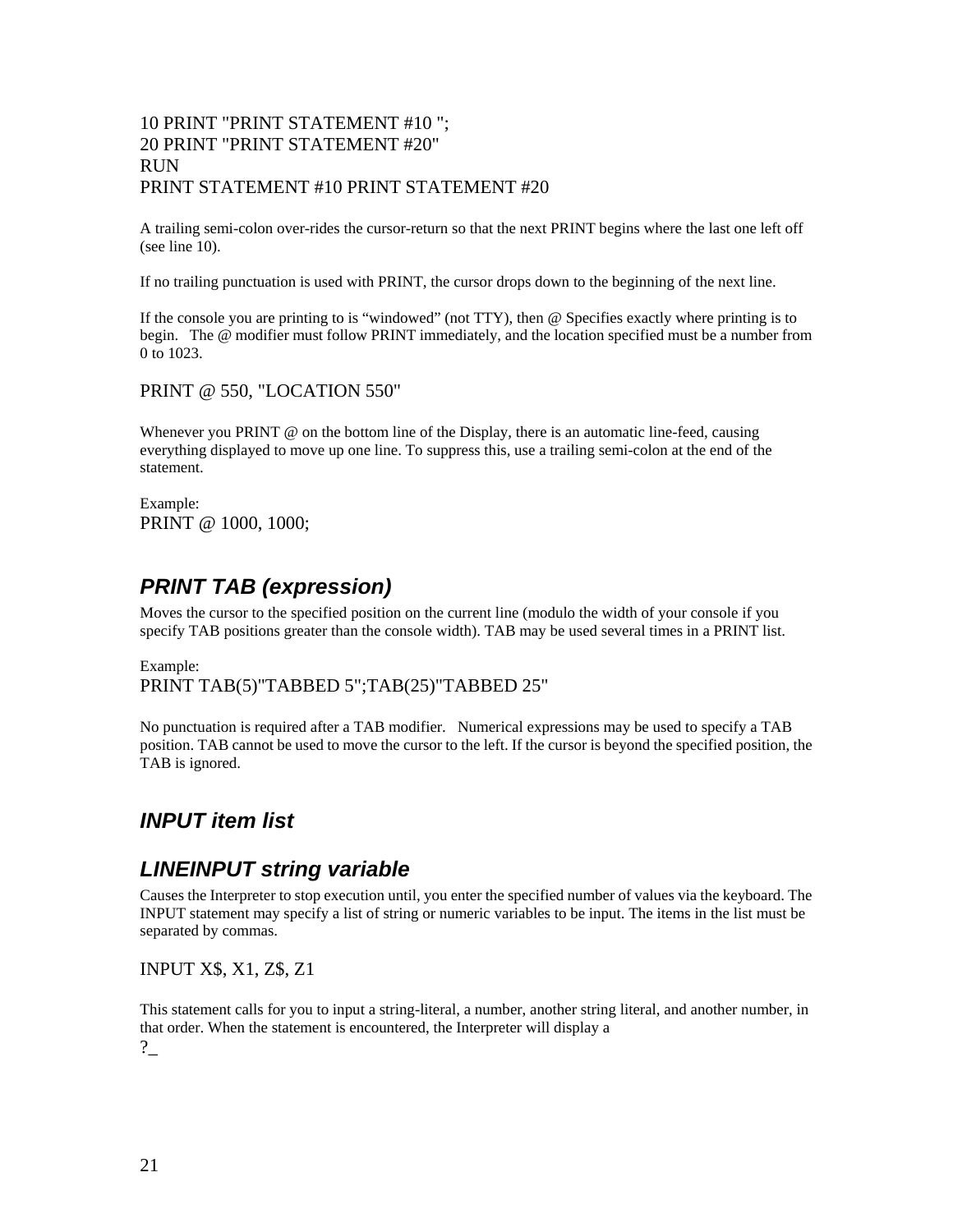#### 10 PRINT "PRINT STATEMENT #10 "; 20 PRINT "PRINT STATEMENT #20" RUN PRINT STATEMENT #10 PRINT STATEMENT #20

A trailing semi-colon over-rides the cursor-return so that the next PRINT begins where the last one left off (see line 10).

If no trailing punctuation is used with PRINT, the cursor drops down to the beginning of the next line.

If the console you are printing to is "windowed" (not TTY), then @ Specifies exactly where printing is to begin. The @ modifier must follow PRINT immediately, and the location specified must be a number from 0 to 1023.

PRINT @ 550, "LOCATION 550"

Whenever you PRINT @ on the bottom line of the Display, there is an automatic line-feed, causing everything displayed to move up one line. To suppress this, use a trailing semi-colon at the end of the statement.

Example: PRINT @ 1000, 1000;

#### *PRINT TAB (expression)*

Moves the cursor to the specified position on the current line (modulo the width of your console if you specify TAB positions greater than the console width). TAB may be used several times in a PRINT list.

Example: PRINT TAB(5)"TABBED 5";TAB(25)"TABBED 25"

No punctuation is required after a TAB modifier. Numerical expressions may be used to specify a TAB position. TAB cannot be used to move the cursor to the left. If the cursor is beyond the specified position, the TAB is ignored.

#### *INPUT item list*

#### *LINEINPUT string variable*

Causes the Interpreter to stop execution until, you enter the specified number of values via the keyboard. The INPUT statement may specify a list of string or numeric variables to be input. The items in the list must be separated by commas.

INPUT X\$, X1, Z\$, Z1

This statement calls for you to input a string-literal, a number, another string literal, and another number, in that order. When the statement is encountered, the Interpreter will display a ?\_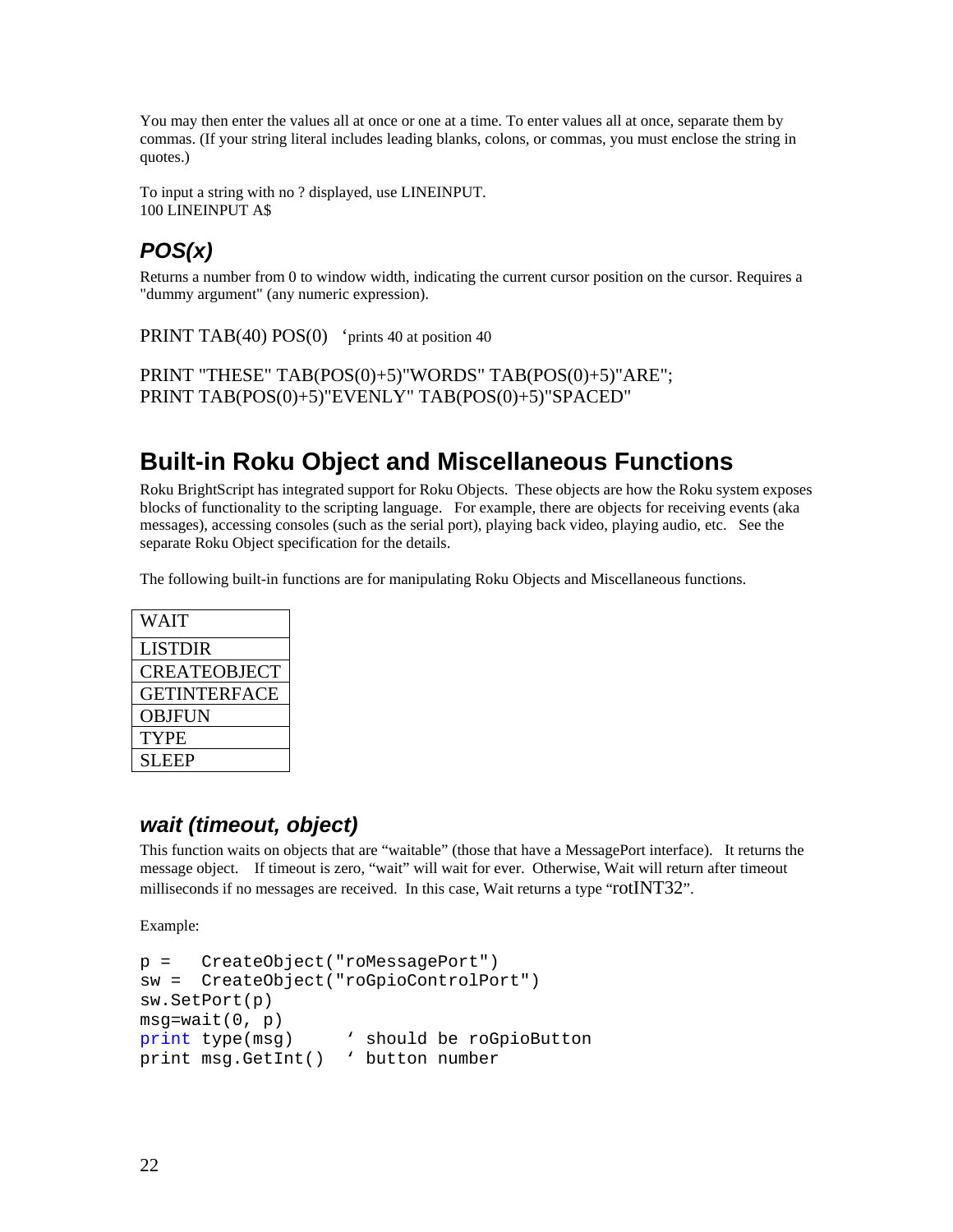You may then enter the values all at once or one at a time. To enter values all at once, separate them by commas. (If your string literal includes leading blanks, colons, or commas, you must enclose the string in quotes.)

To input a string with no ? displayed, use LINEINPUT. 100 LINEINPUT A\$

# *POS(x)*

Returns a number from 0 to window width, indicating the current cursor position on the cursor. Requires a "dummy argument" (any numeric expression).

PRINT TAB(40) POS(0) 'prints 40 at position 40

PRINT "THESE" TAB(POS(0)+5)"WORDS" TAB(POS(0)+5)"ARE"; PRINT TAB(POS(0)+5)"EVENLY" TAB(POS(0)+5)"SPACED"

# **Built-in Roku Object and Miscellaneous Functions**

Roku BrightScript has integrated support for Roku Objects. These objects are how the Roku system exposes blocks of functionality to the scripting language. For example, there are objects for receiving events (aka messages), accessing consoles (such as the serial port), playing back video, playing audio, etc. See the separate Roku Object specification for the details.

The following built-in functions are for manipulating Roku Objects and Miscellaneous functions.

| LISTDIR<br><b>CREATEOBJECT</b><br><b>GETINTERFACE</b><br><b>OBJFUN</b><br><b>TYPE</b><br><b>SLEEP</b> | <b>WAIT</b> |
|-------------------------------------------------------------------------------------------------------|-------------|
|                                                                                                       |             |
|                                                                                                       |             |
|                                                                                                       |             |
|                                                                                                       |             |
|                                                                                                       |             |
|                                                                                                       |             |

### *wait (timeout, object)*

This function waits on objects that are "waitable" (those that have a MessagePort interface). It returns the message object. If timeout is zero, "wait" will wait for ever. Otherwise, Wait will return after timeout milliseconds if no messages are received. In this case, Wait returns a type "rotINT32".

Example:

```
p = CreateObject("roMessagePort") 
sw = CreateObject("roGpioControlPort") 
sw.SetPort(p) 
msg=wait(0, p)print type(msg) ' should be roGpioButton 
print msg.GetInt() ' button number
```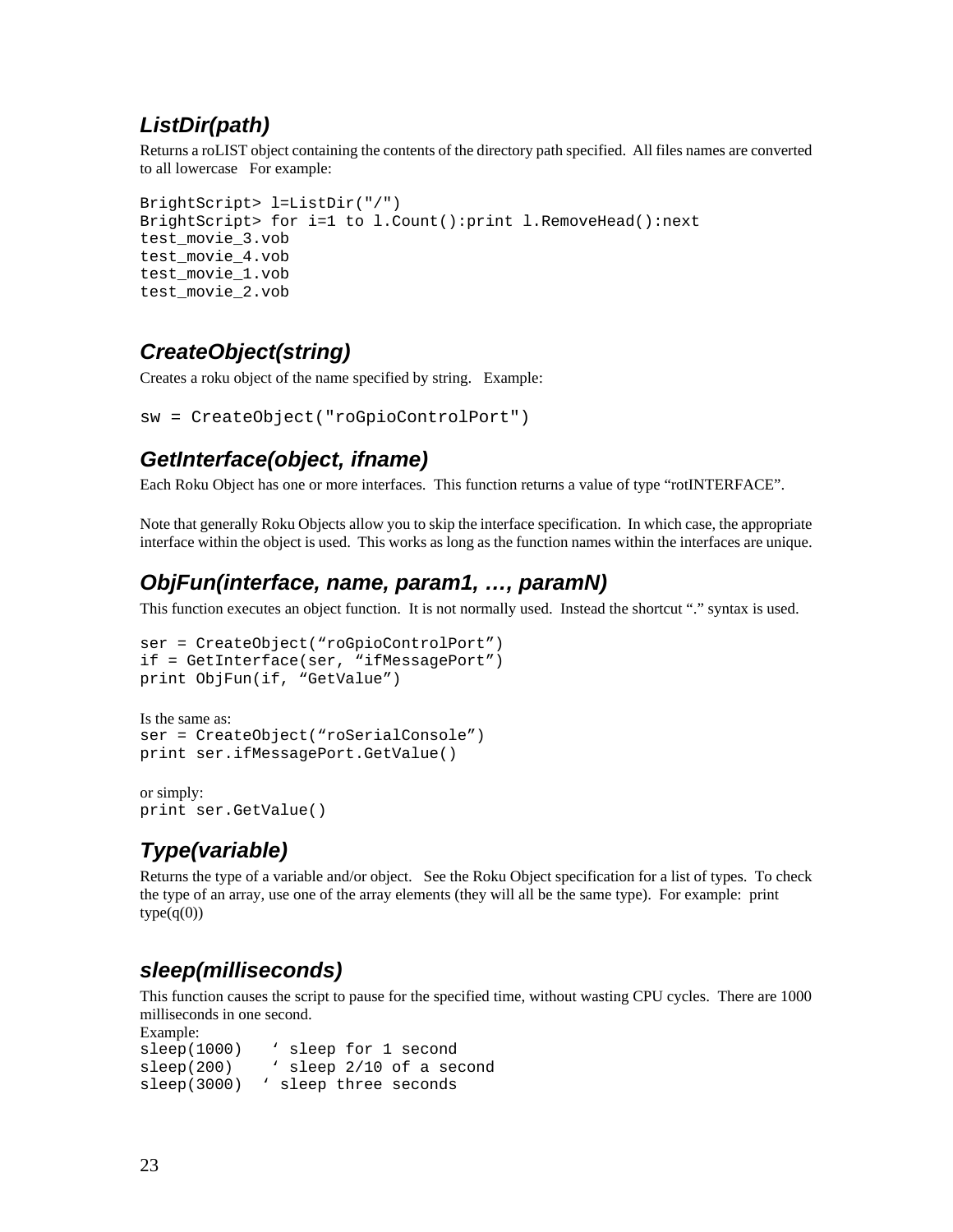### *ListDir(path)*

Returns a roLIST object containing the contents of the directory path specified. All files names are converted to all lowercase For example:

```
BrightScript> l=ListDir("/") 
BrightScript> for i=1 to l.Count():print l.RemoveHead():next 
test_movie_3.vob 
test_movie_4.vob 
test_movie_1.vob 
test_movie_2.vob
```
### *CreateObject(string)*

Creates a roku object of the name specified by string. Example:

```
sw = CreateObject("roGpioControlPort")
```
#### *GetInterface(object, ifname)*

Each Roku Object has one or more interfaces. This function returns a value of type "rotINTERFACE".

Note that generally Roku Objects allow you to skip the interface specification. In which case, the appropriate interface within the object is used. This works as long as the function names within the interfaces are unique.

### *ObjFun(interface, name, param1, …, paramN)*

This function executes an object function. It is not normally used. Instead the shortcut "." syntax is used.

```
ser = CreateObject("roGpioControlPort") 
if = GetInterface(ser, "ifMessagePort") 
print ObjFun(if, "GetValue")
```

```
Is the same as: 
ser = CreateObject("roSerialConsole") 
print ser.ifMessagePort.GetValue()
```
or simply: print ser.GetValue()

# *Type(variable)*

Returns the type of a variable and/or object. See the Roku Object specification for a list of types. To check the type of an array, use one of the array elements (they will all be the same type). For example: print  $type(q(0))$ 

### *sleep(milliseconds)*

This function causes the script to pause for the specified time, without wasting CPU cycles. There are 1000 milliseconds in one second.

Example: sleep(1000) ' sleep for 1 second sleep(200) \ sleep 2/10 of a second sleep(3000) ' sleep three seconds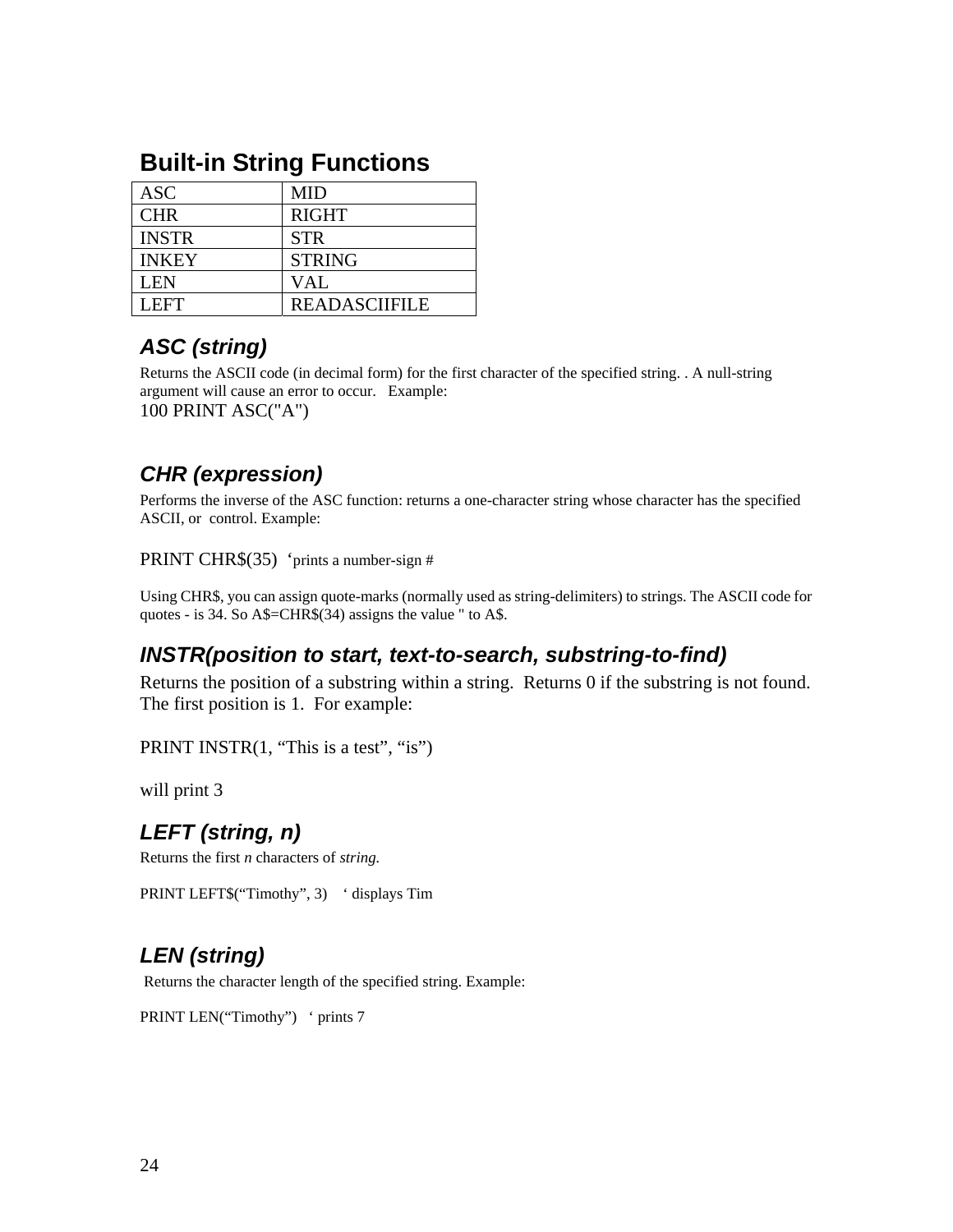| <b>ASC</b>   | <b>MID</b>           |
|--------------|----------------------|
| <b>CHR</b>   | <b>RIGHT</b>         |
| <b>INSTR</b> | <b>STR</b>           |
| <b>INKEY</b> | <b>STRING</b>        |
| <b>LEN</b>   | VAL                  |
| LEFT.        | <b>READASCIIFILE</b> |

# **Built-in String Functions**

# *ASC (string)*

Returns the ASCII code (in decimal form) for the first character of the specified string. . A null-string argument will cause an error to occur. Example: 100 PRINT ASC("A")

### *CHR (expression)*

Performs the inverse of the ASC function: returns a one-character string whose character has the specified ASCII, or control. Example:

PRINT CHR\$(35) 'prints a number-sign #

Using CHR\$, you can assign quote-marks (normally used as string-delimiters) to strings. The ASCII code for quotes - is 34. So A\$=CHR\$(34) assigns the value " to A\$.

#### *INSTR(position to start, text-to-search, substring-to-find)*

Returns the position of a substring within a string. Returns 0 if the substring is not found. The first position is 1. For example:

PRINT INSTR(1, "This is a test", "is")

will print 3

### *LEFT (string, n)*

Returns the first *n* characters of *string.* 

PRINT LEFT\$("Timothy", 3) ' displays Tim

# *LEN (string)*

Returns the character length of the specified string. Example:

PRINT LEN("Timothy") ' prints 7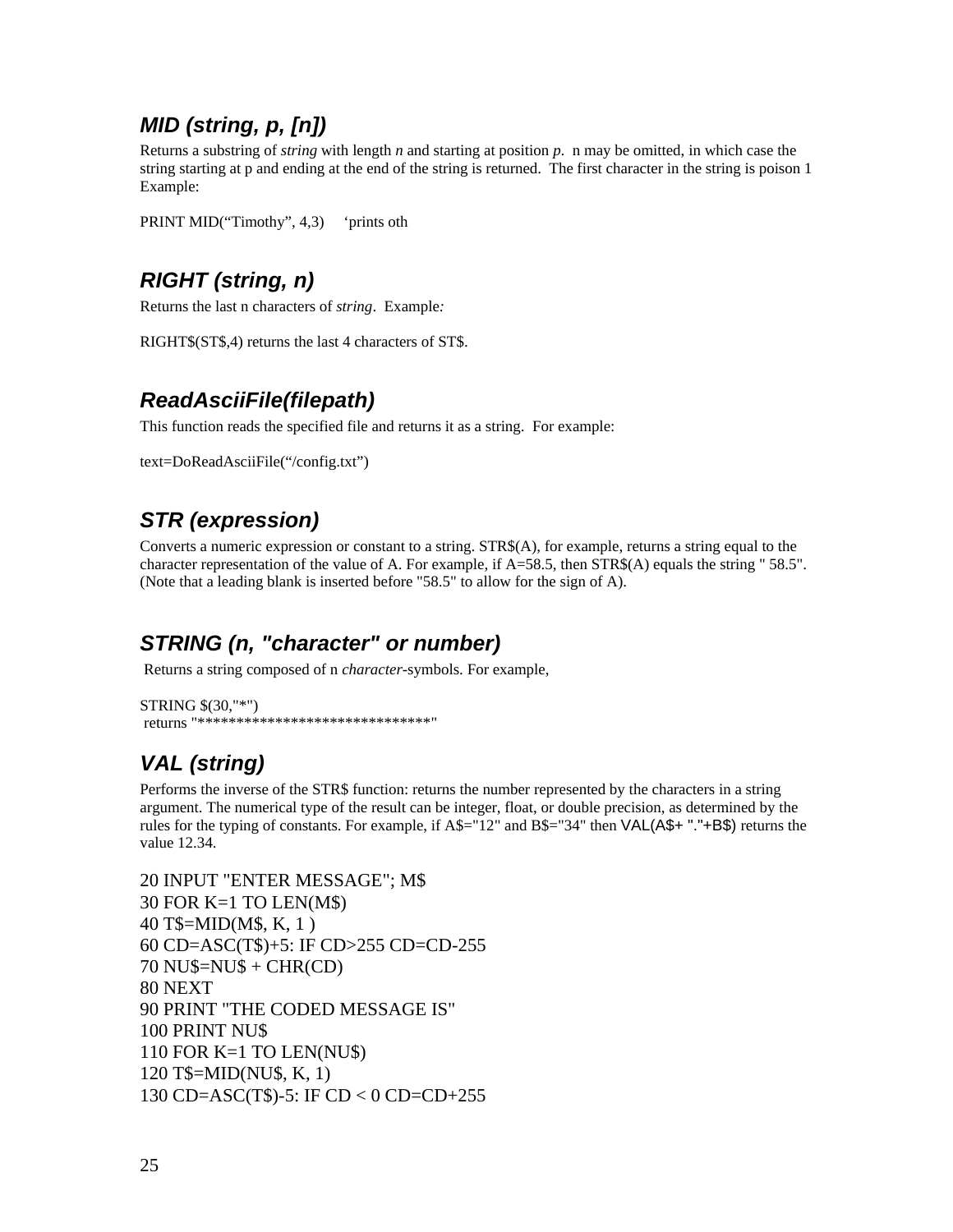### *MID (string, p, [n])*

Returns a substring of *string* with length *n* and starting at position *p*. n may be omitted, in which case the string starting at p and ending at the end of the string is returned. The first character in the string is poison 1 Example:

PRINT MID("Timothy", 4,3) 'prints oth

## *RIGHT (string, n)*

Returns the last n characters of *string*. Example*:* 

RIGHT\$(ST\$,4) returns the last 4 characters of ST\$.

### *ReadAsciiFile(filepath)*

This function reads the specified file and returns it as a string. For example:

text=DoReadAsciiFile("/config.txt")

# *STR (expression)*

Converts a numeric expression or constant to a string. STR\$(A), for example, returns a string equal to the character representation of the value of A. For example, if A=58.5, then STR\$(A) equals the string " 58.5". (Note that a leading blank is inserted before "58.5" to allow for the sign of A).

### *STRING (n, "character" or number)*

Returns a string composed of n *character*-symbols. For example,

```
STRING $(30,"*") 
 returns "******************************"
```
# *VAL (string)*

Performs the inverse of the STR\$ function: returns the number represented by the characters in a string argument. The numerical type of the result can be integer, float, or double precision, as determined by the rules for the typing of constants. For example, if A\$="12" and B\$="34" then VAL(A\$+ "."+B\$) returns the value 12.34.

```
20 INPUT "ENTER MESSAGE"; M$ 
30 FOR K=1 TO LEN(M$) 
40 T$=MID(M$, K, 1 ) 
60 CD=ASC(T$)+5: IF CD>255 CD=CD-255 
70 NU$=NU$ + CHR(CD) 
80 NEXT 
90 PRINT "THE CODED MESSAGE IS" 
100 PRINT NU$ 
110 FOR K=1 TO LEN(NU$) 
120 T$=MID(NU$, K, 1) 
130 CD=ASC(T$)-5: IF CD < 0 CD=CD+255
```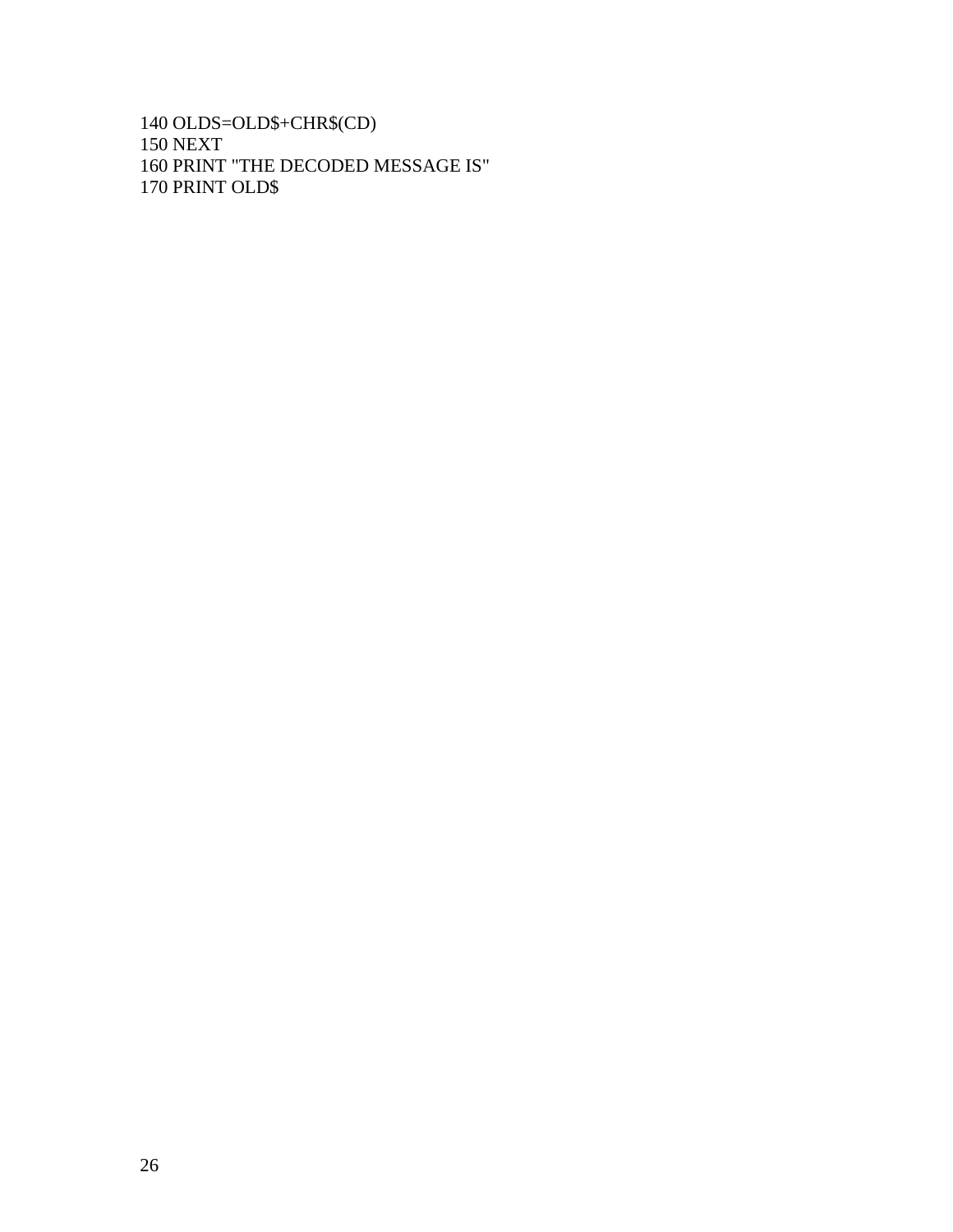140 OLDS=OLD\$+CHR\$(CD) 150 NEXT 160 PRINT "THE DECODED MESSAGE IS" 170 PRINT OLD\$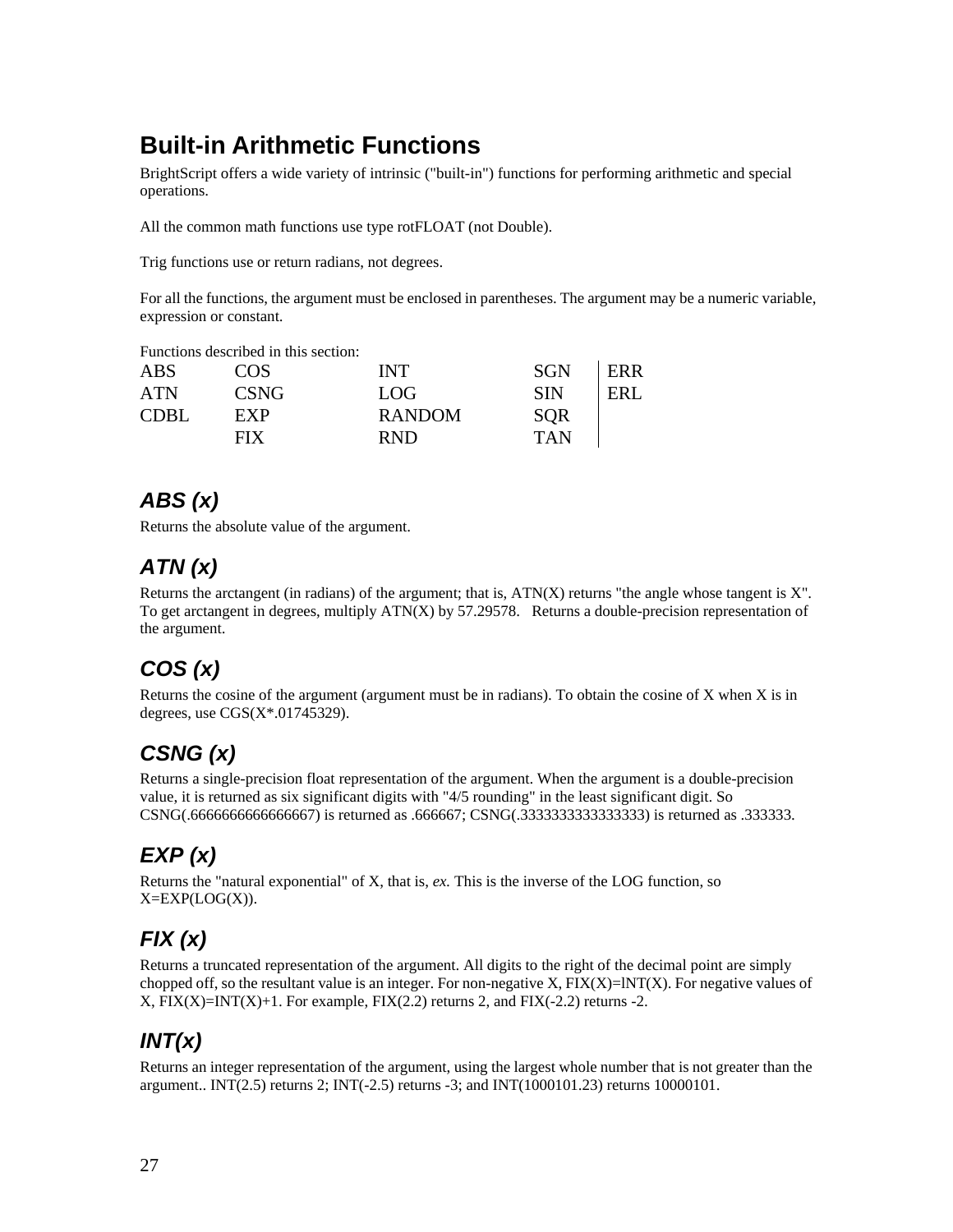# **Built-in Arithmetic Functions**

BrightScript offers a wide variety of intrinsic ("built-in") functions for performing arithmetic and special operations.

All the common math functions use type rotFLOAT (not Double).

Trig functions use or return radians, not degrees.

For all the functions, the argument must be enclosed in parentheses. The argument may be a numeric variable, expression or constant.

Functions described in this section:

| <b>ABS</b>  | COS         | <b>INT</b>    | <b>SGN</b> | ERR |
|-------------|-------------|---------------|------------|-----|
| <b>ATN</b>  | <b>CSNG</b> | LOG.          | <b>SIN</b> | ERL |
| <b>CDBL</b> | EXP         | <b>RANDOM</b> | <b>SOR</b> |     |
|             | <b>FIX</b>  | <b>RND</b>    | <b>TAN</b> |     |

## *ABS (x)*

Returns the absolute value of the argument.

# *ATN (x)*

Returns the arctangent (in radians) of the argument; that is,  $ATN(X)$  returns "the angle whose tangent is  $X$ ". To get arctangent in degrees, multiply  $ATN(X)$  by 57.29578. Returns a double-precision representation of the argument.

# *COS (x)*

Returns the cosine of the argument (argument must be in radians). To obtain the cosine of  $X$  when  $X$  is in degrees, use  $CGS(X*.01745329)$ .

# *CSNG (x)*

Returns a single-precision float representation of the argument. When the argument is a double-precision value, it is returned as six significant digits with "4/5 rounding" in the least significant digit. So CSNG(.6666666666666667) is returned as .666667; CSNG(.3333333333333333) is returned as .333333.

# *EXP (x)*

Returns the "natural exponential" of X, that is, *ex.* This is the inverse of the LOG function, so  $X=EXP(LOG(X)).$ 

# *FIX (x)*

Returns a truncated representation of the argument. All digits to the right of the decimal point are simply chopped off, so the resultant value is an integer. For non-negative X,  $FIX(X)=INT(X)$ . For negative values of  $X$ ,  $\text{FIX}(X)=\text{INT}(X)+1$ . For example,  $\text{FIX}(2.2)$  returns 2, and  $\text{FIX}(-2.2)$  returns -2.

# *INT(x)*

Returns an integer representation of the argument, using the largest whole number that is not greater than the argument.. INT(2.5) returns 2; INT(-2.5) returns -3; and INT(1000101.23) returns 10000101.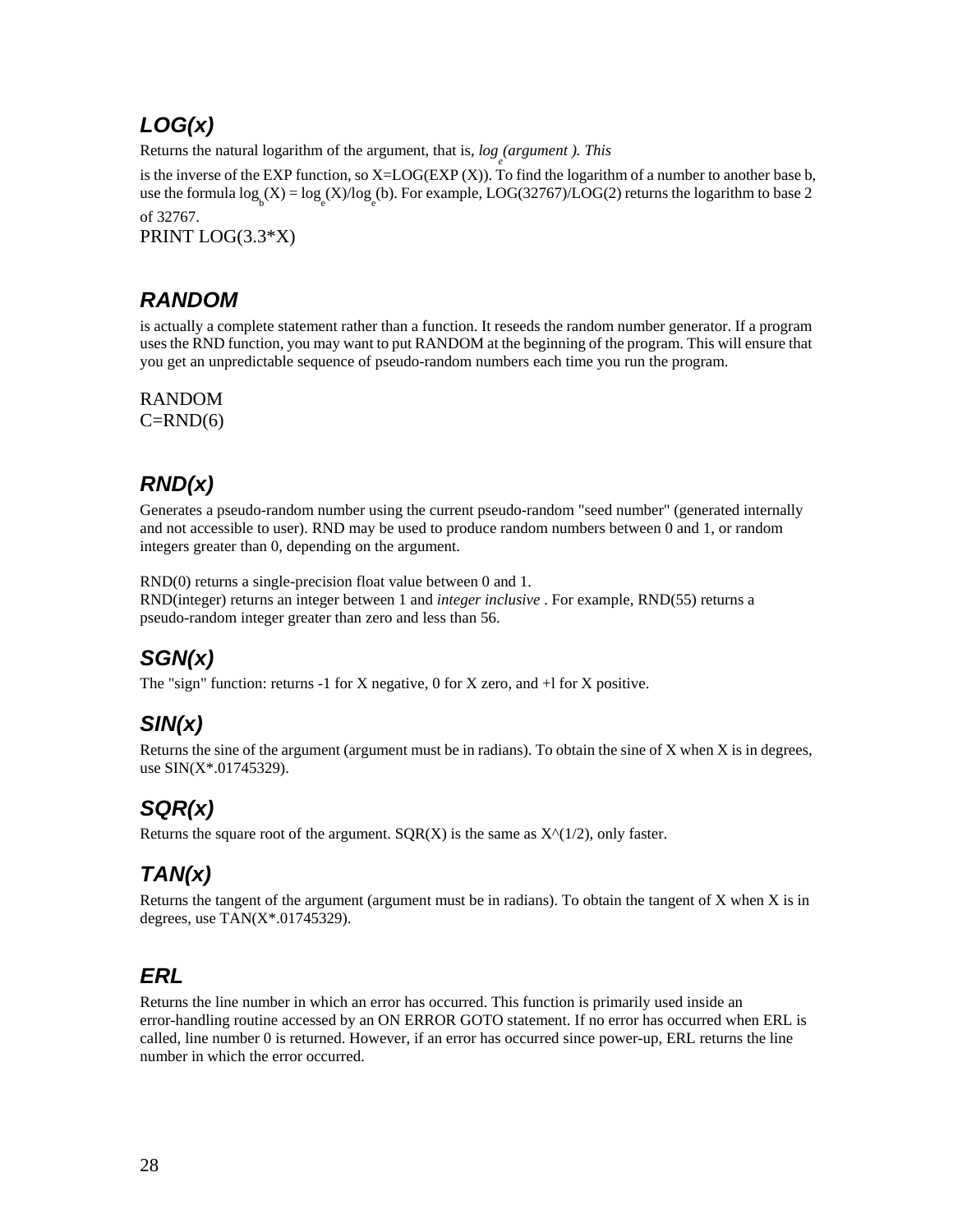# *LOG(x)*

Returns the natural logarithm of the argument, that is,  $log_e(\text{argument})$ . This

is the inverse of the EXP function, so  $X = LOG(EXP(X))$ . To find the logarithm of a number to another base b, use the formula  $\log_{b}(X) = \log_{e}(X)/\log_{e}(b)$ . For example, LOG(32767)/LOG(2) returns the logarithm to base 2 of 32767.

PRINT LOG(3.3\*X)

# *RANDOM*

is actually a complete statement rather than a function. It reseeds the random number generator. If a program uses the RND function, you may want to put RANDOM at the beginning of the program. This will ensure that you get an unpredictable sequence of pseudo-random numbers each time you run the program.

RANDOM  $C=RND(6)$ 

# *RND(x)*

Generates a pseudo-random number using the current pseudo-random "seed number" (generated internally and not accessible to user). RND may be used to produce random numbers between 0 and 1, or random integers greater than 0, depending on the argument.

RND(0) returns a single-precision float value between 0 and 1. RND(integer) returns an integer between 1 and *integer inclusive* . For example, RND(55) returns a pseudo-random integer greater than zero and less than 56.

# *SGN(x)*

The "sign" function: returns -1 for X negative, 0 for X zero, and  $+1$  for X positive.

# *SIN(x)*

Returns the sine of the argument (argument must be in radians). To obtain the sine of X when X is in degrees, use SIN(X\*.01745329).

# *SQR(x)*

Returns the square root of the argument.  $SOR(X)$  is the same as  $X^{\wedge}(1/2)$ , only faster.

# *TAN(x)*

Returns the tangent of the argument (argument must be in radians). To obtain the tangent of  $X$  when  $X$  is in degrees, use TAN(X\*.01745329).

### *ERL*

Returns the line number in which an error has occurred. This function is primarily used inside an error-handling routine accessed by an ON ERROR GOTO statement. If no error has occurred when ERL is called, line number 0 is returned. However, if an error has occurred since power-up, ERL returns the line number in which the error occurred.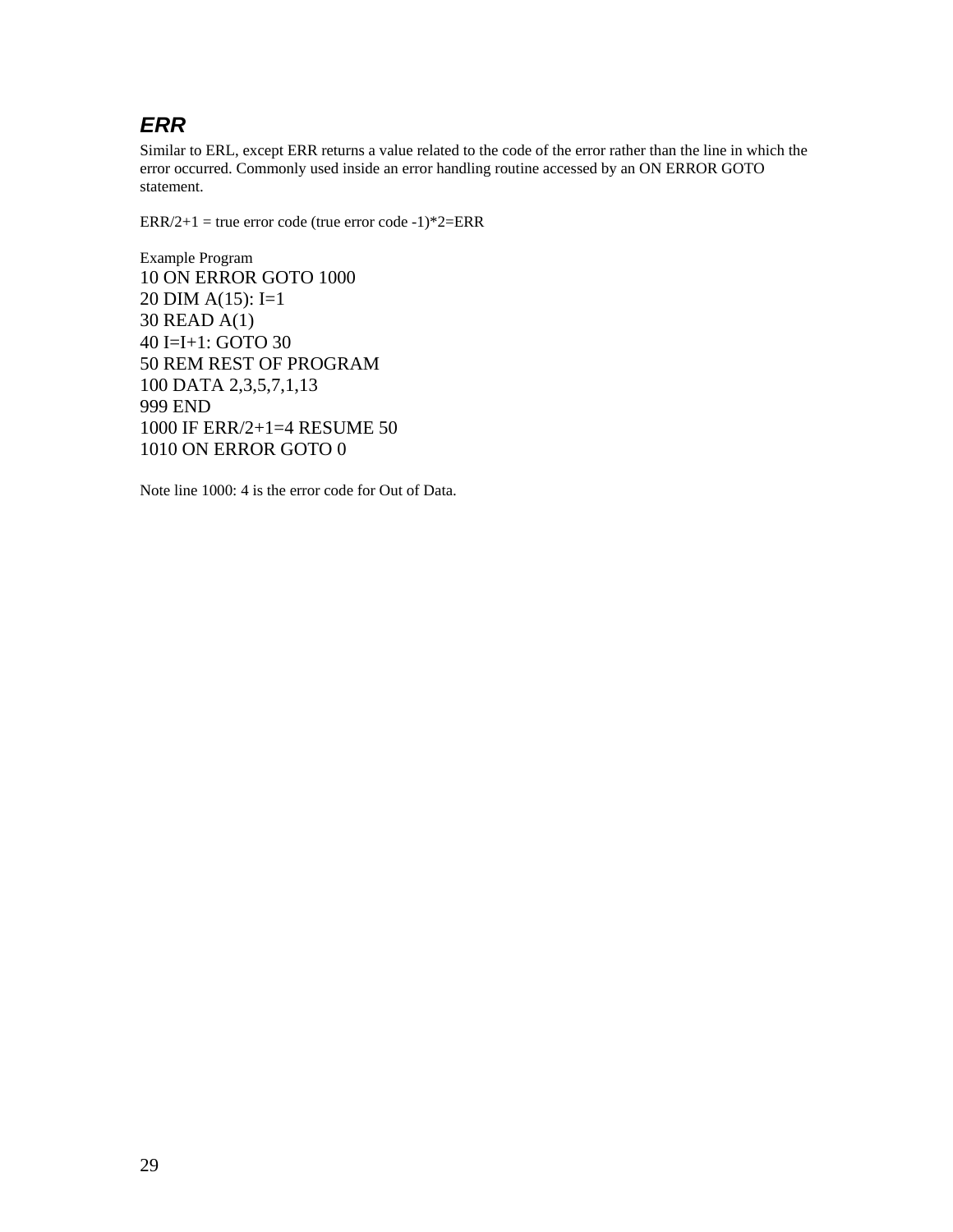### *ERR*

Similar to ERL, except ERR returns a value related to the code of the error rather than the line in which the error occurred. Commonly used inside an error handling routine accessed by an ON ERROR GOTO statement.

 $ERR/2+1$  = true error code (true error code -1)\*2= $ERR$ 

Example Program 10 ON ERROR GOTO 1000 20 DIM A(15): I=1 30 READ A(1) 40 I=I+1: GOTO 30 50 REM REST OF PROGRAM 100 DATA 2,3,5,7,1,13 999 END 1000 IF ERR/2+1=4 RESUME 50 1010 ON ERROR GOTO 0

Note line 1000: 4 is the error code for Out of Data.